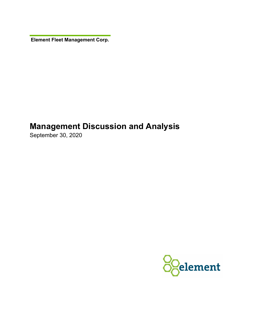**Element Fleet Management Corp.** 

# **Management Discussion and Analysis**

September 30, 2020

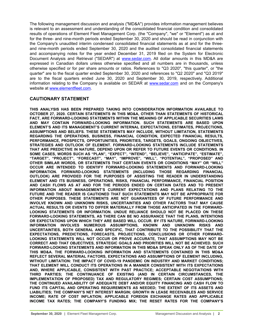The following management discussion and analysis ("MD&A") provides information management believes is relevant to an assessment and understanding of the consolidated financial condition and consolidated results of operations of Element Fleet Management Corp. (the "Company", "we" or "Element") as at and for the three- and nine-month periods ended September 30, 2020 and should be read in conjunction with the Company's unaudited interim condensed consolidated financial statements as at and for the threeand nine-month periods ended September 30, 2020 and the audited consolidated financial statements and accompanying notes for the year ended December 31, 2019 filed on the System for Electronic Document Analysis and Retrieval ("SEDAR") at [www.sedar.com.](http://www.sedar.com) All dollar amounts in this MD&A are expressed in Canadian dollars unless otherwise specified and all numbers are in thousands, unless otherwise specified or for per share amounts or ratios. References to "Q3 2020", "this quarter", or "the quarter" are to the fiscal quarter ended September 30, 2020 and references to "Q2 2020" and "Q3 2019" are to the fiscal quarters ended June 30, 2020 and September 30, 2019, respectively. Additional information relating to the Company is available on SEDAR at [www.sedar.com](http://www.sedar.com) and on the Company's website at [www.elementfleet.com.](http://www.elementfleet.com)

# **CAUTIONARY STATEMENT**

**THIS ANALYSIS HAS BEEN PREPARED TAKING INTO CONSIDERATION INFORMATION AVAILABLE TO OCTOBER 27, 2020. CERTAIN STATEMENTS IN THIS MD&A, OTHER THAN STATEMENTS OF HISTORICAL FACT, ARE FORWARD-LOOKING STATEMENTS WITHIN THE MEANING OF APPLICABLE SECURITIES LAWS AND MAY CONTAIN FORWARD-LOOKING INFORMATION. SUCH STATEMENTS ARE BASED UPON ELEMENT'S AND ITS MANAGEMENT'S CURRENT INTERNAL EXPECTATIONS, ESTIMATES, PROJECTIONS, ASSUMPTIONS AND BELIEFS. THESE STATEMENTS MAY INCLUDE, WITHOUT LIMITATION, STATEMENTS REGARDING THE OPERATIONS, BUSINESS, FINANCIAL CONDITION, EXPECTED FINANCIAL RESULTS, PERFORMANCE, PROSPECTS, OPPORTUNITIES, PRIORITIES, TARGETS, GOALS, ONGOING OBJECTIVES, STRATEGIES AND OUTLOOK OF ELEMENT. FORWARD-LOOKING STATEMENTS INCLUDE STATEMENTS THAT ARE PREDICTIVE IN NATURE, DEPEND UPON OR REFER TO FUTURE EVENTS OR CONDITIONS. IN SOME CASES, WORDS SUCH AS "PLAN", "EXPECT", "INTEND", "BELIEVE", "ANTICIPATE", "ESTIMATE", "TARGET", "PROJECT", "FORECAST", "MAY", "IMPROVE", "WILL", "POTENTIAL", "PROPOSED" AND OTHER SIMILAR WORDS, OR STATEMENTS THAT CERTAIN EVENTS OR CONDITIONS "MAY" OR "WILL" OCCUR ARE INTENDED TO IDENTIFY FORWARD-LOOKING STATEMENTS AND FORWARD-LOOKING INFORMATION. FORWARD-LOOKING STATEMENTS (INCLUDING THOSE REGARDING FINANCIAL OUTLOOK) ARE PROVIDED FOR THE PURPOSES OF ASSISTING THE READER IN UNDERSTANDING ELEMENT AND ITS BUSINESS, OPERATIONS, RISKS, FINANCIAL PERFORMANCE, FINANCIAL POSITION AND CASH FLOWS AS AT AND FOR THE PERIODS ENDED ON CERTAIN DATES AND TO PRESENT INFORMATION ABOUT MANAGEMENT'S CURRENT EXPECTATIONS AND PLANS RELATING TO THE FUTURE AND THE READER IS CAUTIONED THAT SUCH STATEMENTS MAY NOT BE APPROPRIATE FOR OTHER PURPOSES. THESE STATEMENTS ARE NOT GUARANTEES OF FUTURE PERFORMANCE AND INVOLVE KNOWN AND UNKNOWN RISKS, UNCERTAINTIES AND OTHER FACTORS THAT MAY CAUSE ACTUAL RESULTS OR EVENTS TO DIFFER MATERIALLY FROM THOSE ANTICIPATED IN THE FORWARD-LOOKING STATEMENTS OR INFORMATION. UNDUE RELIANCE SHOULD NOT BE PLACED ON THESE FORWARD-LOOKING STATEMENTS, AS THERE CAN BE NO ASSURANCE THAT THE PLANS, INTENTIONS OR EXPECTATIONS UPON WHICH THEY ARE BASED WILL OCCUR. BY ITS NATURE, FORWARD-LOOKING INFORMATION INVOLVES NUMEROUS ASSUMPTIONS, KNOWN AND UNKNOWN RISKS AND UNCERTAINTIES, BOTH GENERAL AND SPECIFIC, THAT CONTRIBUTE TO THE POSSIBILITY THAT THE EXPECTATIONS, PREDICTIONS, FORECASTS, PROJECTIONS, CONCLUSIONS OR OTHER FORWARD-LOOKING STATEMENTS WILL NOT OCCUR OR PROVE ACCURATE, THAT ASSUMPTIONS MAY NOT BE CORRECT AND THAT OBJECTIVES, STRATEGIC GOALS AND PRIORITIES WILL NOT BE ACHIEVED. SUCH FORWARD-LOOKING STATEMENTS AND INFORMATION IN THIS MD&A SPEAK ONLY AS OF THE DATE OF THIS MD&A. THE FORWARD-LOOKING INFORMATION AND STATEMENTS CONTAINED IN THIS MD&A REFLECT SEVERAL MATERIAL FACTORS, EXPECTATIONS AND ASSUMPTIONS OF ELEMENT INCLUDING, WITHOUT LIMITATION: THE IMPACT OF COVID-19 PANDEMIC ON INDUSTRY AND MARKET CONDITIONS; THAT ELEMENT WILL CONDUCT ITS OPERATIONS IN A MANNER CONSISTENT WITH ITS EXPECTATIONS AND, WHERE APPLICABLE, CONSISTENT WITH PAST PRACTICE; ACCEPTABLE NEGOTIATIONS WITH THIRD PARTIES; THE CONTINUANCE OF EXISTING (AND IN CERTAIN CIRCUMSTANCES, THE IMPLEMENTATION OF PROPOSED) TAX AND REGULATORY REGIMES; CERTAIN COST ASSUMPTIONS; THE CONTINUED AVAILABILITY OF ADEQUATE DEBT AND/OR EQUITY FINANCING AND CASH FLOW TO FUND ITS CAPITAL AND OPERATING REQUIREMENTS AS NEEDED; THE EXTENT OF ITS ASSETS AND LIABILITIES; THE COMPANY'S NET INTEREST MARGIN; GROWTH IN LEASE RECEIVABLES AND SERVICE INCOME; RATE OF COST INFLATION; APPLICABLE FOREIGN EXCHANGE RATES AND APPLICABLE INCOME TAX RATES; THE COMPANY'S FUNDING MIX; THE RESET RATES FOR THE COMPANY'S**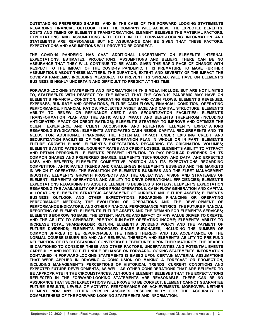**OUTSTANDING PREFERRED SHARES; AND IN THE CASE OF THE FORWARD LOOKING STATEMENTS REGARDING FINANCIAL OUTLOOK, THAT THE COMPANY WILL ACHIEVE THE EXPECTED BENEFITS, COSTS AND TIMING OF ELEMENT'S TRANSFORMATION. ELEMENT BELIEVES THE MATERIAL FACTORS, EXPECTATIONS AND ASSUMPTIONS REFLECTED IN THE FORWARD-LOOKING INFORMATION AND STATEMENTS ARE REASONABLE BUT NO ASSURANCE CAN BE GIVEN THAT THESE FACTORS, EXPECTATIONS AND ASSUMPTIONS WILL PROVE TO BE CORRECT.**

**THE COVID-19 PANDEMIC HAS CAST ADDITIONAL UNCERTAINTY ON ELEMENT'S INTERNAL EXPECTATIONS, ESTIMATES, PROJECTIONS, ASSUMPTIONS AND BELIEFS. THERE CAN BE NO ASSURANCE THAT THEY WILL CONTINUE TO BE VALID. GIVEN THE RAPID PACE OF CHANGE WITH RESPECT TO THE IMPACT OF THE COVID-19 PANDEMIC, IT IS PREMATURE TO MAKE FURTHER ASSUMPTIONS ABOUT THESE MATTERS. THE DURATION, EXTENT AND SEVERITY OF THE IMPACT THE COVID-19 PANDEMIC, INCLUDING MEASURES TO PREVENT ITS SPREAD, WILL HAVE ON ELEMENT'S BUSINESS IS HIGHLY UNCERTAIN AND DIFFICULT TO PREDICT AT THIS TIME.**

**FORWARD-LOOKING STATEMENTS AND INFORMATION IN THIS MD&A INCLUDE, BUT ARE NOT LIMITED TO, STATEMENTS WITH RESPECT TO: THE IMPACT THAT THE COVID-19 PANDEMIC MAY HAVE ON ELEMENT'S FINANCIAL CONDITION, OPERATING RESULTS AND CASH FLOWS; ELEMENT'S REVENUES, EXPENSES, RUN-RATE AND OPERATIONS, FUTURE CASH FLOWS, FINANCIAL CONDITION, OPERATING PERFORMANCE, FINANCIAL RATIOS, PROJECTED ASSET BASE AND CAPITAL STRUCTURE; ELEMENT'S ABILITY TO RENEW OR REFINANCE CREDIT AND SECURITIZATION FACILITIES; ELEMENT'S TRANSFORMATION PLAN AND THE ANTICIPATED IMPACT AND BENEFITS THEREFROM (INCLUDING ANTICIPATED IMPACT ON CREDIT RATINGS); ELEMENT'S STRATEGY TO IMPROVE AND OPTIMIZE THE CLIENT EXPERIENCE AND CLIENT ACQUISITION AND RETENTION; ELEMENT'S EXPECTATIONS REGARDING SYNDICATION; ELEMENT'S ANTICIPATED CASH NEEDS, CAPITAL REQUIREMENTS AND ITS NEEDS FOR ADDITIONAL FINANCING; THE POTENTIAL IMPACT UNDER EXISTING CREDIT AND SECURITIZATION FACILITIES OF THE TRANSFORMATION PLAN IN WHOLE OR IN PART; ELEMENT'S FUTURE GROWTH PLANS; ELEMENT'S EXPECTATIONS REGARDING ITS ORIGINATION VOLUMES; ELEMENT'S ANTICIPATED DELINQUENCY RATES AND CREDIT LOSSES; ELEMENT'S ABILITY TO ATTRACT AND RETAIN PERSONNEL; ELEMENT'S PRESENT INTENTION TO PAY REGULAR DIVIDENDS ON ITS COMMON SHARES AND PREFERRED SHARES; ELEMENT'S TECHNOLOGY AND DATA, AND EXPECTED USES AND BENEFITS; ELEMENT'S COMPETITIVE POSITION AND ITS EXPECTATIONS REGARDING COMPETITION; ANTICIPATED TRENDS AND CHALLENGES IN ELEMENT'S BUSINESS AND THE MARKETS IN WHICH IT OPERATES; THE EVOLUTION OF ELEMENT'S BUSINESS AND THE FLEET MANAGEMENT INDUSTRY; ELEMENT'S GROWTH PROSPECTS AND THE OBJECTIVES, VISION AND STRATEGIES OF ELEMENT; ELEMENT'S OPERATIONS AND ABILITY TO DRIVE OPERATIONAL EFFICIENCIES; ELEMENT'S EXPECTATIONS REGARDING ITS ASSETS; ELEMENT'S BUSINESS STRATEGY; ELEMENT'S EXPECTATION REGARDING THE AVAILABILITY OF FUNDS FROM OPERATIONS, CASH FLOW GENERATION AND CAPITAL ALLOCATION; ELEMENT'S STRATEGIC ASSESSMENT OF CURRENT AND FUTURE ASSETS; ELEMENT'S BUSINESS OUTLOOK AND OTHER EXPECTATIONS REGARDING FINANCING OR OPERATING PERFORMANCE METRICS; THE EVOLUTION OF OPERATIONS AND THE DEVELOPMENT OF PERFORMANCE INDICATORS, AND OTHER FINANCIAL PERFORMANCE METRICS; THE FUTURE FINANCIAL REPORTING OF ELEMENT; ELEMENT'S FUTURE ASSETS AND THE DEMAND FOR ELEMENT'S SERVICES; ELEMENT'S BORROWING BASE; THE EXTENT, NATURE AND IMPACT OF ANY VALUE DRIVER TO CREATE, AND THE ABILITY TO GENERATE, PRE-TAX RUN-RATE OPERATING INCOME; ELEMENT'S ABILITY TO INCREASE TOTAL SHAREHOLDER RETURN; ELEMENT'S DIVIDEND POLICY AND THE PAYMENT OF FUTURE DIVIDENDS; ELEMENT'S PROPOSED SHARE PURCHASES, INCLUDING THE NUMBER OF COMMON SHARES TO BE REPURCHASED, THE TIMING THEREOF AND TSX ACCEPTANCE OF THE NORMAL COURSE ISSUER BID AND ANY RENEWAL THEREOF; AND ELEMENT'S ABILITY TO PRE-FUND REDEMPTION OF ITS OUTSTANDING CONVERTIBLE DEBENTURES UPON THEIR MATURITY. THE READER IS CAUTIONED TO CONSIDER THESE AND OTHER FACTORS, UNCERTAINTIES AND POTENTIAL EVENTS CAREFULLY AND NOT TO PUT UNDUE RELIANCE ON FORWARD-LOOKING STATEMENTS. INFORMATION CONTAINED IN FORWARD-LOOKING STATEMENTS IS BASED UPON CERTAIN MATERIAL ASSUMPTIONS THAT WERE APPLIED IN DRAWING A CONCLUSION OR MAKING A FORECAST OR PROJECTION, INCLUDING MANAGEMENT'S PERCEPTIONS OF HISTORICAL TRENDS, CURRENT CONDITIONS AND EXPECTED FUTURE DEVELOPMENTS, AS WELL AS OTHER CONSIDERATIONS THAT ARE BELIEVED TO BE APPROPRIATE IN THE CIRCUMSTANCES. ALTHOUGH ELEMENT BELIEVES THAT THE EXPECTATIONS REFLECTED IN THE FORWARD-LOOKING STATEMENTS ARE REASONABLE, THERE CAN BE NO ASSURANCE THAT SUCH EXPECTATIONS WILL PROVE TO BE CORRECT. ELEMENT CANNOT GUARANTEE FUTURE RESULTS, LEVELS OF ACTIVITY, PERFORMANCE OR ACHIEVEMENTS. MOREOVER, NEITHER ELEMENT NOR ANY OTHER PERSON ASSUMES RESPONSIBILITY FOR THE ACCURACY OR COMPLETENESS OF THE FORWARD-LOOKING STATEMENTS AND INFORMATION.**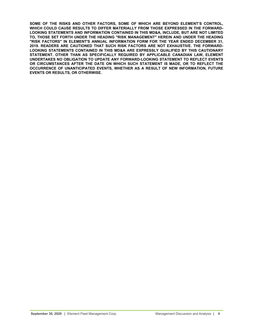**SOME OF THE RISKS AND OTHER FACTORS, SOME OF WHICH ARE BEYOND ELEMENT'S CONTROL, WHICH COULD CAUSE RESULTS TO DIFFER MATERIALLY FROM THOSE EXPRESSED IN THE FORWARD-LOOKING STATEMENTS AND INFORMATION CONTAINED IN THIS MD&A, INCLUDE, BUT ARE NOT LIMITED TO, THOSE SET FORTH UNDER THE HEADING "RISK MANAGEMENT" HEREIN AND UNDER THE HEADING "RISK FACTORS" IN ELEMENT'S ANNUAL INFORMATION FORM FOR THE YEAR ENDED DECEMBER 31, 2019. READERS ARE CAUTIONED THAT SUCH RISK FACTORS ARE NOT EXHAUSTIVE. THE FORWARD-LOOKING STATEMENTS CONTAINED IN THIS MD&A ARE EXPRESSLY QUALIFIED BY THIS CAUTIONARY STATEMENT. OTHER THAN AS SPECIFICALLY REQUIRED BY APPLICABLE CANADIAN LAW, ELEMENT UNDERTAKES NO OBLIGATION TO UPDATE ANY FORWARD-LOOKING STATEMENT TO REFLECT EVENTS OR CIRCUMSTANCES AFTER THE DATE ON WHICH SUCH STATEMENT IS MADE, OR TO REFLECT THE OCCURRENCE OF UNANTICIPATED EVENTS, WHETHER AS A RESULT OF NEW INFORMATION, FUTURE EVENTS OR RESULTS, OR OTHERWISE.**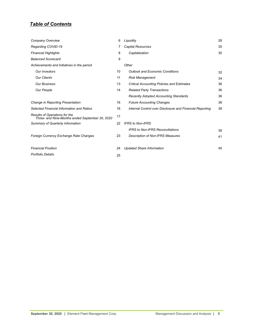# *Table of Contents*

| Company Overview                                                                 | 6  | Liquidity                                                | 28 |
|----------------------------------------------------------------------------------|----|----------------------------------------------------------|----|
| Regarding COVID-19                                                               |    | Capital Resources                                        | 30 |
| <b>Financial Highlights</b>                                                      | 8  | Capitalization                                           | 30 |
| <b>Balanced Scorecard</b>                                                        | 9  |                                                          |    |
| Achievements and Initiatives in the period                                       |    | Other                                                    |    |
| <b>Our Investors</b>                                                             | 10 | <b>Outlook and Economic Conditions</b>                   | 32 |
| <b>Our Clients</b>                                                               | 11 | <b>Risk Management</b>                                   | 34 |
| <b>Our Business</b>                                                              | 13 | <b>Critical Accounting Policies and Estimates</b>        | 36 |
| Our People                                                                       | 14 | <b>Related Party Transactions</b>                        | 36 |
|                                                                                  |    | <b>Recently Adopted Accounting Standards</b>             | 36 |
| Change in Reporting Presentation                                                 | 16 | <b>Future Accounting Changes</b>                         | 38 |
| Selected Financial Information and Ratios                                        | 16 | Internal Control over Disclosure and Financial Reporting | 38 |
| Results of Operations for the<br>Three- and Nine-Months ended September 30, 2020 | 17 |                                                          |    |
| Summary of Quarterly Information                                                 | 22 | <b>IFRS to Non-IFRS</b>                                  |    |
|                                                                                  |    | <b>IFRS</b> to Non-IFRS Reconciliations                  | 39 |
| Foreign Currency Exchange Rate Changes                                           | 23 | <b>Description of Non-IFRS Measures</b>                  | 41 |
| <b>Financial Position</b>                                                        | 24 | <b>Updated Share Information</b>                         | 45 |
| <b>Portfolio Details</b>                                                         | 25 |                                                          |    |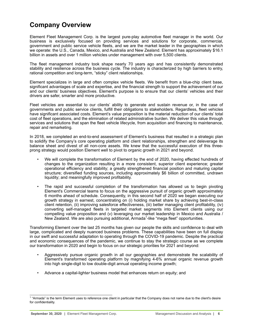# <span id="page-5-0"></span>**Company Overview**

Element Fleet Management Corp. is the largest pure-play automotive fleet manager in the world. Our business is exclusively focused on providing services and solutions for corporate, commercial, government and public service vehicle fleets, and we are the market leader in the geographies in which we operate: the U.S., Canada, Mexico, and Australia and New Zealand. Element has approximately \$16.1 billion in assets and over 1 million vehicles under management with over 5,500 clients.

The fleet management industry took shape nearly 70 years ago and has consistently demonstrated stability and resilience across the business cycle. The industry is characterized by high barriers to entry, rational competition and long-term, "sticky" client relationships.

Element specializes in large and often complex vehicle fleets. We benefit from a blue-chip client base, significant advantages of scale and expertise, and the financial strength to support the achievement of our and our clients' business objectives. Element's purpose is to ensure that our clients' vehicles and their drivers are safer, smarter and more productive.

Fleet vehicles are essential to our clients' ability to generate and sustain revenue or, in the case of governments and public service clients, fulfill their obligations to stakeholders. Regardless, fleet vehicles have significant associated costs. Element's value proposition is the material reduction of our clients' total cost of fleet operations, and the elimination of related administrative burden. We deliver this value through services and solutions that span the fleet vehicle lifecycle, from acquisition and financing to maintenance, repair and remarketing.

In 2018, we completed an end-to-end assessment of Element's business that resulted in a strategic plan to solidify the Company's core operating platform and client relationships, strengthen and deleverage its balance sheet and divest of all non-core assets. We knew that the successful execution of this threeprong strategy would position Element well to pivot to organic growth in 2021 and beyond.

- We will complete the transformation of Element by the end of 2020, having effected hundreds of changes to the organization resulting in a more consistent, superior client experience; greater operational efficiency and stability; a greatly strengthened financial position and maturing capital structure; diversified funding sources, including approximately \$6 billion of committed, undrawn liquidity; and meaningfully improved profitability.
- The rapid and successful completion of the transformation has allowed us to begin pivoting Element's Commercial teams to focus on the aggressive pursuit of organic growth approximately 6 months ahead of schedule. Consequently, in this second half of 2020 we began executing our growth strategy in earnest, concentrating on (i) holding market share by achieving best-in-class client retention, (ii) improving salesforce effectiveness, (iii) better managing client profitability, (iv) converting self-managed fleets in targeted market segments into Element clients using our compelling value proposition and (v) leveraging our market leadership in Mexico and Australia / New Zealand. We are also pursuing additional, Armada<sup>1</sup>-like "mega fleet" opportunities.

Transforming Element over the last 25 months has given our people the skills and confidence to deal with large, complicated and deeply nuanced business problems. These capabilities have been on full display in our swift and successful adaptation to operating through the COVID-19 pandemic. Despite the practical and economic consequences of the pandemic, we continue to stay the strategic course as we complete our transformation in 2020 and begin to focus on our strategic priorities for 2021 and beyond:

- Aggressively pursue organic growth in all our geographies and demonstrate the scalability of Element's transformed operating platform by magnifying 4-6% annual organic revenue growth into high single-digit to low double-digit annual operating income growth;
- Advance a capital-light*er* business model that enhances return on equity; and

<sup>&</sup>lt;sup>1</sup> "Armada" is the term Element uses to reference one client in particular that the Company does not name due to the client's desire for confidentiality.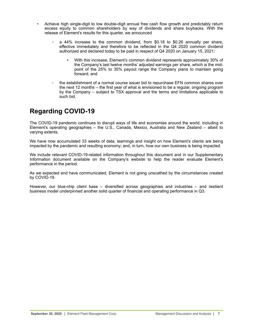- <span id="page-6-0"></span>• Achieve high single-digit to low double-digit annual free cash flow growth and predictably return excess equity to common shareholders by way of dividends and share buybacks. With the release of Element's results for this quarter, we announced
	- a 44% increase to the common dividend, from \$0.18 to \$0.26 annually per share, effective immediately and therefore to be reflected in the Q4 2020 common dividend authorized and declared today to be paid in respect of Q4 2020 on January 15, 2021;
		- With this increase, Element's common dividend represents approximately 30% of the Company's last twelve months' adjusted earnings per share, which is the midpoint of the 25% to 35% payout range the Company plans to maintain going forward; and
	- the establishment of a normal course issuer bid to repurchase EFN common shares over the next 12 months – the first year of what is envisioned to be a regular, ongoing program by the Company – subject to TSX approval and the terms and limitations applicable to such bid.

# **Regarding COVID-19**

The COVID-19 pandemic continues to disrupt ways of life and economies around the world, including in Element's operating geographies – the U.S., Canada, Mexico, Australia and New Zealand – albeit to varying extents.

We have now accumulated 33 weeks of data, learnings and insight on how Element's clients are being impacted by the pandemic and resulting economy; and, in turn, how our own business is being impacted.

We include relevant COVID-19-related information throughout this document and in our Supplementary Information document available on the Company's website to help the reader evaluate Element's performance in the period.

As we expected and have communicated, Element is not going unscathed by the circumstances created by COVID-19.

However, our blue-chip client base – diversified across geographies and industries – and resilient business model underpinned another solid quarter of financial and operating performance in Q3.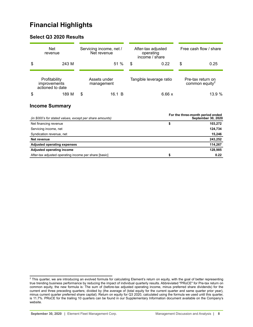# <span id="page-7-0"></span>**Financial Highlights**

# **Select Q3 2020 Results**

| <b>Net</b><br>revenue                                    | Servicing income, net /<br>Net revenue | After-tax adjusted<br>operating<br>income / share | Free cash flow / share                          |
|----------------------------------------------------------|----------------------------------------|---------------------------------------------------|-------------------------------------------------|
| \$<br>243 M                                              | 51%                                    | 0.22<br>S                                         | \$<br>0.25                                      |
| Profitability<br><i>improvements</i><br>actioned to date | Assets under<br>management             | Tangible leverage ratio                           | Pre-tax return on<br>common equity <sup>2</sup> |
| \$<br>189 M                                              | \$<br>16.1 B                           | 6.66 x                                            | 13.9%                                           |

# **Income Summary**

| (in \$000's for stated values, except per share amounts) | For the three-month period ended<br><b>September 30, 2020</b> |
|----------------------------------------------------------|---------------------------------------------------------------|
| Net financing revenue                                    | \$<br>103,272                                                 |
| Servicing income, net                                    | 124,734                                                       |
| Syndication revenue, net                                 | 15,246                                                        |
| Net revenue                                              | 243,252                                                       |
| <b>Adjusted operating expenses</b>                       | 114,267                                                       |
| Adjusted operating income                                | 128,985                                                       |
| After-tax adjusted operating income per share [basic]    | \$<br>0.22                                                    |

 $^2$  This quarter, we are introducing an evolved formula for calculating Element's return on equity, with the goal of better representing true trending business performance by reducing the impact of individual quarterly results. Abbreviated "PRoCE" for Pre-tax return on common equity, the new formula is: The sum of (before-tax adjusted operating income, minus preferred share dividends) for the current and three preceding quarters; divided by (the average of (total equity for the current quarter and same quarter prior year), minus current quarter preferred share capital). Return on equity for Q3 2020, calculated using the formula we used until this quarter, is 11.7%. PRoCE for the trailing 10 quarters can be found in our Supplementary Information document available on the Company's website.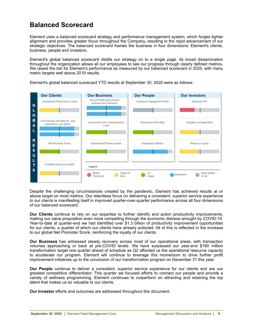# <span id="page-8-0"></span>**Balanced Scorecard**

Element uses a balanced scorecard strategy and performance management system, which forges tighter alignment and provides greater focus throughout the Company, resulting in the rapid advancement of our strategic objectives. The balanced scorecard frames the business in four dimensions: Element's clients, business, people and investors.

Element's global balanced scorecard distills our strategy on to a single page. Its broad dissemination throughout the organization allows all our employees to see our progress through clearly defined metrics. We raised the bar for Element's performance as measured by our balanced scorecard in 2020, with many metric targets well above 2019 results.



Element's global balanced scorecard YTD results at September 30, 2020 were as follows:

Despite the challenging circumstances created by the pandemic, Element has achieved results at or above target on most metrics. Our relentless focus on delivering a consistent, superior service experience to our clients is manifesting itself in improved quarter-over-quarter performance across all four dimensions of our balanced scorecard:

**Our Clients** continue to rely on our expertise to further identify and action productivity improvements, making our value proposition even more compelling through the economic distress wrought by COVID-19. Year-to-date at quarter-end we had identified over \$1.3 billion of productivity improvement opportunities for our clients, a quarter of which our clients have already actioned. All of this is reflected in the increase to our global Net Promoter Score, reinforcing the loyalty of our clients.

**Our Business** has witnessed steady recovery across most of our operational areas, with transaction volumes approaching or back at pre-COVID levels. We have surpassed our year-end \$180 million transformation target one quarter ahead of schedule as Q2 afforded us the operational resource capacity to accelerate our program. Element will continue to leverage this momentum to drive further profit improvement initiatives up to the conclusion of our transformation program on December 31 this year.

**Our People** continue to deliver a consistent, superior service experience for our clients and are our greatest competitive differentiator. This quarter we focused efforts to connect our people and provide a variety of wellness programming. Element continues to outperform on attracting and retaining the top talent that makes us so valuable to our clients.

**Our Investor** efforts and outcomes are addressed throughout this document.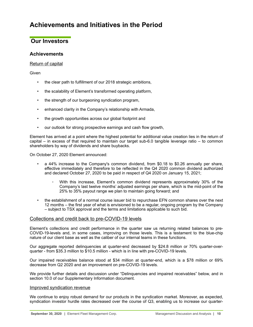# <span id="page-9-0"></span>**Achievements and Initiatives in the Period**

# **Our Investors**

# **Achievements**

# Return of capital

**Given** 

- the clear path to fulfillment of our 2018 strategic ambitions,
- the scalability of Element's transformed operating platform,
- the strength of our burgeoning syndication program,
- enhanced clarity in the Company's relationship with Armada,
- the growth opportunities across our global footprint and
- our outlook for strong prospective earnings and cash flow growth,

Element has arrived at a point where the highest potential for additional value creation lies in the return of capital – in excess of that required to maintain our target sub-6.0 tangible leverage ratio – to common shareholders by way of dividends and share buybacks.

On October 27, 2020 Element announced:

- a 44% increase to the Company's common dividend, from \$0.18 to \$0.26 annually per share, effective immediately and therefore to be reflected in the Q4 2020 common dividend authorized and declared October 27, 2020 to be paid in respect of Q4 2020 on January 15, 2021;
	- With this increase, Element's common dividend represents approximately 30% of the Company's last twelve months' adjusted earnings per share, which is the mid-point of the 25% to 35% payout range we plan to maintain going forward; and
- the establishment of a normal course issuer bid to repurchase EFN common shares over the next 12 months – the first year of what is envisioned to be a regular, ongoing program by the Company – subject to TSX approval and the terms and limitations applicable to such bid.

# Collections and credit back to pre-COVID-19 levels

Element's collections and credit performance in the quarter saw us returning related balances to pre-COVID-19-levels and, in some cases, improving on those levels. This is a testament to the blue-chip nature of our client base as well as the caliber of our internal teams in these functions.

Our aggregate reported delinquencies at quarter-end decreased by \$24.8 million or 70% quarter-overquarter - from \$35.3 million to \$10.5 million - which is in line with pre-COVID-19 levels.

Our impaired receivables balance stood at \$34 million at quarter-end, which is a \$78 million or 69% decrease from Q2 2020 and an improvement on pre-COVID-19 levels.

We provide further details and discussion under "Delinquencies and impaired receivables" below, and in section 10.0 of our Supplementary Information document.

### Improved syndication revenue

We continue to enjoy robust demand for our products in the syndication market. Moreover, as expected, syndication investor hurdle rates decreased over the course of Q3, enabling us to increase our quarter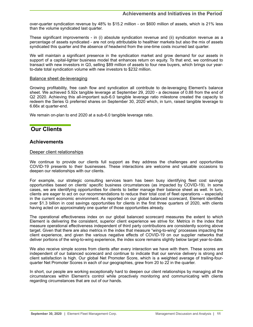<span id="page-10-0"></span>over-quarter syndication revenue by 48% to \$15.2 million - on \$600 million of assets, which is 21% less than the volume syndicated last quarter.

These significant improvements - in (i) absolute syndication revenue and (ii) syndication revenue as a percentage of assets syndicated - are not only attributable to healthier markets but also the mix of assets syndicated this quarter and the absence of headwind from the one-time costs incurred last quarter.

We will maintain a significant presence in the syndication market and grow demand for our assets in support of a capital-light*er* business model that enhances return on equity. To that end, we continued to transact with new investors in Q3, selling \$89 million of assets to four new buyers, which brings our yearto-date total syndication volume with new investors to \$232 million.

#### Balance sheet de-leveraging

Growing profitability, free cash flow and syndication all contribute to de-leveraging Element's balance sheet. We achieved 5.92x tangible leverage at September 29, 2020 - a decrease of 0.88 from the end of Q2 2020. Achieving this all-important sub-6.0 tangible leverage ratio milestone created the capacity to redeem the Series G preferred shares on September 30, 2020 which, in turn, raised tangible leverage to 6.66x at quarter-end.

We remain on-plan to end 2020 at a sub-6.0 tangible leverage ratio.

# **Our Clients**

# **Achievements**

# Deeper client relationships

We continue to provide our clients full support as they address the challenges and opportunities COVID-19 presents to their businesses. These interactions are welcome and valuable occasions to deepen our relationships with our clients.

For example, our strategic consulting services team has been busy identifying fleet cost savings opportunities based on clients' specific business circumstances (as impacted by COVID-19). In some cases, we are identifying opportunities for clients to better manage their balance sheet as well. In turn, clients are eager to act on our recommendations to reduce their total cost of fleet operations – especially in the current economic environment. As reported on our global balanced scorecard, Element identified over \$1.3 billion in cost savings opportunities for clients in the first three quarters of 2020, with clients having acted on approximately one quarter of those opportunities already.

The operational effectiveness index on our global balanced scorecard measures the extent to which Element is delivering the consistent, superior client experience we strive for. Metrics in the index that measure operational effectiveness independent of third party contributions are consistently scoring above target. Given that there are also metrics in the index that measure "wing-to-wing" processes impacting the client experience, and given the various negative effects of COVID-19 on our supplier networks that deliver portions of the wing-to-wing experience, the index score remains slightly below target year-to-date.

We also receive simple scores from clients after every interaction we have with them. These scores are independent of our balanced scorecard and continue to indicate that our service delivery is strong and client satisfaction is high. Our global Net Promoter Score, which is a weighted average of trailing-fourquarter Net Promoter Scores in each of our geographies, grew from 20 to 22 in the quarter.

In short, our people are working exceptionally hard to deepen our client relationships by managing all the circumstances within Element's control while proactively monitoring and communicating with clients regarding circumstances that are out of our hands.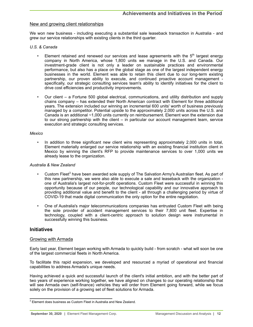### New and growing client relationships

We won new business - including executing a substantial sale leaseback transaction in Australia - and grew our service relationships with existing clients in the third quarter.

#### *U.S. & Canada*

- Element retained and renewed our services and lease agreements with the  $5<sup>th</sup>$  largest energy company in North America, whose 1,800 units we manage in the U.S. and Canada. Our investment-grade client is not only a leader on sustainable practices and environmental performance, but also has a place on the global stage as one of the largest independent energy businesses in the world. Element was able to retain this client due to our long-term existing partnership, our proven ability to execute, and continued proactive account management specifically, our strategic consulting services team's ability to identify initiatives for the client to drive cost efficiencies and productivity improvements.
- Our client a Fortune 500 global electrical, communications, and utility distribution and supply chains company – has extended their North American contract with Element for three additional years. The extension included our winning an incremental 600 units' worth of business previously managed by a competitor. Potential upside to the approximately 2,000 units across the U.S. and Canada is an additional ~1,000 units currently on reimbursement. Element won the extension due to our strong partnership with the client – in particular our account management team, service execution and strategic consulting services.

#### *Mexico*

In addition to three significant new client wins representing approximately 2,000 units in total, Element materially enlarged our service relationship with an existing financial institution client in Mexico by winning the client's RFP to provide maintenance services to over 1,000 units we already lease to the organization.

### *Australia & New Zealand*

- Custom Fleet<sup>3</sup> have been awarded sole supply of The Salvation Army's Australian fleet. As part of this new partnership, we were also able to execute a sale and leaseback with the organization one of Australia's largest not-for-profit operations. Custom Fleet were successful in winning this opportunity because of our people, our technological capability and our innovative approach to providing additional value and benefit to the client - all through a challenging period by virtue of COVID-19 that made digital communication the only option for the entire negotiation.
- One of Australia's major telecommunications companies has entrusted Custom Fleet with being the sole provider of accident management services to their 7,800 unit fleet. Expertise in technology, coupled with a client-centric approach to solution design were instrumental in successfully winning this business.

## **Initiatives**

# Growing with Armada

Early last year, Element began working with Armada to quickly build - from scratch - what will soon be one of the largest commercial fleets in North America.

To facilitate this rapid expansion, we developed and resourced a myriad of operational and financial capabilities to address Armada's unique needs.

Having achieved a quick and successful launch of the client's initial ambition, and with the better part of two years of experience working together, we have aligned on changes to our operating relationship that will see Armada own (self-finance) vehicles they will order from Element going forward, while we focus solely on the provision of a growing set of fleet solutions for Armada.

 $3$  Element does business as Custom Fleet in Australia and New Zealand.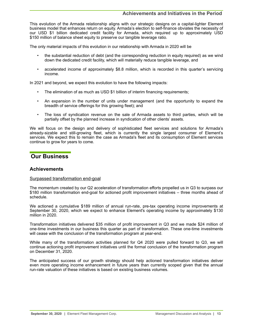# **Achievements and Initiatives in the Period**

<span id="page-12-0"></span>This evolution of the Armada relationship aligns with our strategic designs on a capital-lighter Element business model that enhances return on equity. Armada's election to self-finance obviates the necessity of our USD \$1 billion dedicated credit facility for Armada, which required up to approximately USD \$150 million of balance sheet equity to preserve our tangible leverage ratio.

The only material impacts of this evolution in our relationship with Armada in 2020 will be

- the substantial reduction of debt (and the corresponding reduction in equity required) as we wind down the dedicated credit facility, which will materially reduce tangible leverage, and
- accelerated income of approximately \$8.8 million, which is recorded in this quarter's servicing income.

In 2021 and beyond, we expect this evolution to have the following impacts:

- The elimination of as much as USD \$1 billion of interim financing requirements;
- An expansion in the number of units under management (and the opportunity to expand the breadth of service offerings for this growing fleet); and
- The loss of syndication revenue on the sale of Armada assets to third parties, which will be partially offset by the planned increase in syndication of other clients' assets.

We will focus on the design and delivery of sophisticated fleet services and solutions for Armada's already-sizable and still-growing fleet, which is currently the single largest consumer of Element's services. We expect this to remain the case as Armada's fleet and its consumption of Element services continue to grow for years to come.

# **Our Business**

# **Achievements**

### Surpassed transformation end-goal

The momentum created by our Q2 acceleration of transformation efforts propelled us in Q3 to surpass our \$180 million transformation end-goal for actioned profit improvement initiatives – three months ahead of schedule.

We actioned a cumulative \$189 million of annual run-rate, pre-tax operating income improvements at September 30, 2020, which we expect to enhance Element's operating income by approximately \$130 million in 2020.

Transformation initiatives delivered \$35 million of profit improvement in Q3 and we made \$24 million of one-time investments in our business this quarter as part of transformation. These one-time investments will cease with the conclusion of the transformation program at year-end.

While many of the transformation activities planned for Q4 2020 were pulled forward to Q3, we will continue actioning profit improvement initiatives until the formal conclusion of the transformation program on December 31, 2020.

The anticipated success of our growth strategy should help actioned transformation initiatives deliver even more operating income enhancement in future years than currently scoped given that the annual run-rate valuation of these initiatives is based on existing business volumes.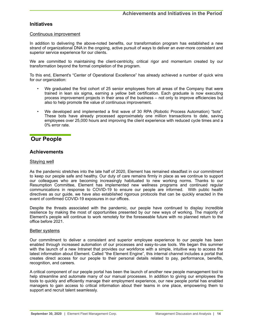# <span id="page-13-0"></span>**Initiatives**

### Continuous improvement

In addition to delivering the above-noted benefits, our transformation program has established a new strand of organizational DNA in the ongoing, active pursuit of ways to deliver an ever-more consistent and superior service experience for our clients.

We are committed to maintaining the client-centricity, critical rigor and momentum created by our transformation beyond the formal completion of the program.

To this end, Element's "Center of Operational Excellence" has already achieved a number of quick wins for our organization:

- We graduated the first cohort of 25 senior employees from all areas of the Company that were trained in lean six sigma, earning a yellow belt certification. Each graduate is now executing process improvement projects in their area of the business – not only to improve efficiencies but also to help promote the value of continuous improvement.
- We developed and implemented a first wave of 30 RPA (Robotic Process Automation) "bots". These bots have already processed approximately one million transactions to date, saving employees over 25,000 hours and improving the client experience with reduced cycle times and a 0% error rate.

# **Our People**

# **Achievements**

## Staying well

As the pandemic stretches into the late half of 2020, Element has remained steadfast in our commitment to keep our people safe and healthy. Our duty of care remains firmly in place as we continue to support our colleagues who are becoming increasingly habituated to new working norms. Thanks to our Resumption Committee, Element has implemented new wellness programs and continued regular communications in response to COVID-19 to ensure our people are informed. With public health directives as our guide, we have also established rigorous protocols that can be quickly enacted in the event of confirmed COVID-19 exposures in our offices.

Despite the threats associated with the pandemic, our people have continued to display incredible resilience by making the most of opportunities presented by our new ways of working. The majority of Element's people will continue to work remotely for the foreseeable future with no planned return to the office before 2021.

### Better systems

Our commitment to deliver a consistent and superior employee experience to our people has been enabled through increased automation of our processes and easy-to-use tools. We began this summer with the launch of a new Intranet that provides our workforce with a simple, intuitive way to access the latest information about Element. Called "the Element Engine", this internal channel includes a portal that creates direct access for our people to their personal details related to pay, performance, benefits, recognition, and careers.

A critical component of our people portal has been the launch of another new people management tool to help streamline and automate many of our manual processes. In addition to giving our employees the tools to quickly and efficiently manage their employment experience, our new people portal has enabled managers to gain access to critical information about their teams in one place, empowering them to support and recruit talent seamlessly.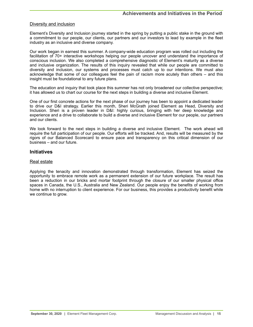# Diversity and inclusion

Element's Diversity and Inclusion journey started in the spring by putting a public stake in the ground with a commitment to our people, our clients, our partners and our investors to lead by example in the fleet industry as an inclusive and diverse company.

Our work began in earnest this summer. A company-wide education program was rolled out including the facilitation of 70+ interactive workshops helping our people uncover and understand the importance of conscious inclusion. We also completed a comprehensive diagnostic of Element's maturity as a diverse and inclusive organization. The results of this inquiry revealed that while our people are committed to diversity and inclusion, our systems and processes must catch up to our intentions. We must also acknowledge that some of our colleagues feel the pain of racism more acutely than others – and this insight must be foundational to any future plans.

The education and inquiry that took place this summer has not only broadened our collective perspective; it has allowed us to chart our course for the next steps in building a diverse and inclusive Element.

One of our first concrete actions for the next phase of our journey has been to appoint a dedicated leader to drive our D&I strategy. Earlier this month, Sheri McGrath joined Element as Head, Diversity and Inclusion. Sheri is a proven leader in D&I: highly curious, bringing with her deep knowledge and experience and a drive to collaborate to build a diverse and inclusive Element for our people, our partners and our clients.

We look forward to the next steps in building a diverse and inclusive Element. The work ahead will require the full participation of our people. Our efforts will be tracked. And, results will be measured by the rigors of our Balanced Scorecard to ensure pace and transparency on this critical dimension of our business – and our future.

# **Initiatives**

### Real estate

Applying the tenacity and innovation demonstrated through transformation, Element has seized the opportunity to embrace remote work as a permanent extension of our future workplace. The result has been a reduction in our bricks and mortar footprint through the closure of our smaller physical office spaces in Canada, the U.S., Australia and New Zealand. Our people enjoy the benefits of working from home with no interruption to client experience. For our business, this provides a productivity benefit while we continue to grow.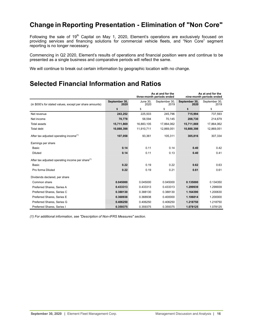# <span id="page-15-0"></span>**Change in Reporting Presentation - Elimination of "Non Core"**

Following the sale of 19<sup>th</sup> Capital on May 1, 2020, Element's operations are exclusively focused on providing services and financing solutions for commercial vehicle fleets, and "Non Core" segment reporting is no longer necessary.

Commencing in Q2 2020, Element's results of operations and financial position were and continue to be presented as a single business and comparative periods will reflect the same.

We will continue to break out certain information by geographic location with no change.

# **Selected Financial Information and Ratios**

|                                                              |                       |                  | As at and for the<br>three-month periods ended | As at and for the<br>nine-month periods ended |                       |  |
|--------------------------------------------------------------|-----------------------|------------------|------------------------------------------------|-----------------------------------------------|-----------------------|--|
| (in \$000's for stated values, except per share amounts)     | September 30,<br>2020 | June 30.<br>2020 | September 30,<br>2019                          | September 30,<br>2020                         | September 30,<br>2019 |  |
|                                                              | \$                    | \$               | \$                                             | \$                                            | \$                    |  |
| Net revenue                                                  | 243,252               | 225.503          | 245.796                                        | 715.994                                       | 737,593               |  |
| Net income                                                   | 70,778                | 58,594           | 70,145                                         | 208,730                                       | 214,679               |  |
| <b>Total assets</b>                                          | 15,711,869            | 16,883,105       | 17,864,062                                     | 15,711,869                                    | 17,864,062            |  |
| Total debt                                                   | 10.888.398            | 11,910,711       | 12.869.051                                     | 10.888.398                                    | 12.869.051            |  |
| After tax adjusted operating income <sup>(1)</sup>           | 107,058               | 93,361           | 105,311                                        | 305,816                                       | 307,334               |  |
| Earnings per share                                           |                       |                  |                                                |                                               |                       |  |
| Basic                                                        | 0.14                  | 0.11             | 0.14                                           | 0.40                                          | 0.42                  |  |
| <b>Diluted</b>                                               | 0.14                  | 0.11             | 0.13                                           | 0.40                                          | 0.41                  |  |
| After tax adjusted operating income per share <sup>(1)</sup> |                       |                  |                                                |                                               |                       |  |
| <b>Basic</b>                                                 | 0.22                  | 0.19             | 0.22                                           | 0.62                                          | 0.63                  |  |
| Pro forma Diluted                                            | 0.22                  | 0.19             | 0.21                                           | 0.61                                          | 0.61                  |  |
| Dividends declared, per share                                |                       |                  |                                                |                                               |                       |  |
| Common share                                                 | 0.045000              | 0.045000         | 0.045000                                       | 0.135000                                      | 0.134350              |  |
| Preferred Shares, Series A                                   | 0.433313              | 0.433313         | 0.433313                                       | 1.299939                                      | 1.299939              |  |
| Preferred Shares, Series C                                   | 0.388130              | 0.388130         | 0.388130                                       | 1.164390                                      | 1.200630              |  |
| Preferred Shares, Series E                                   | 0.368938              | 0.368938         | 0.400000                                       | 1.106814                                      | 1.200000              |  |
| Preferred Shares, Series G                                   | 0.406250              | 0.406250         | 0.406250                                       | 1.218750                                      | 1.218750              |  |
| Preferred Shares, Series I                                   | 0.359375              | 0.359375         | 0.359375                                       | 1.078125                                      | 1.078125              |  |

*(1) For additional information, see "Description of Non-IFRS Measures" section.*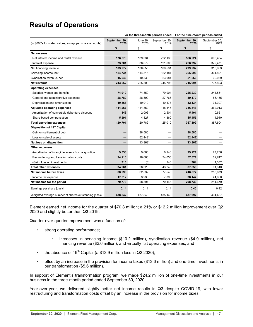# <span id="page-16-0"></span>**Results of Operations**

| For the three-month periods ended                        |                       |                  | For the nine-month periods ended |                       |                       |
|----------------------------------------------------------|-----------------------|------------------|----------------------------------|-----------------------|-----------------------|
| (in \$000's for stated values, except per share amounts) | September 30,<br>2020 | June 30,<br>2020 | September 30,<br>2019            | September 30,<br>2020 | September 30,<br>2019 |
|                                                          | \$                    | \$               | \$                               | \$                    | \$                    |
| Net revenue                                              |                       |                  |                                  |                       |                       |
| Net interest income and rental revenue                   | 176,573               | 189,334          | 222.136                          | 566,224               | 690,434               |
| Interest expense                                         | 73,301                | 88.679           | 121,605                          | 266,992               | 379,471               |
| Net financing revenue                                    | 103,272               | 100,655          | 100,531                          | 299,232               | 310,963               |
| Servicing income, net                                    | 124,734               | 114,515          | 122,181                          | 365,096               | 364,591               |
| Syndication revenue, net                                 | 15,246                | 10,333           | 23,084                           | 51,666                | 62,039                |
| Net revenue                                              | 243,252               | 225,503          | 245,796                          | 715,994               | 737,593               |
| <b>Operating expenses</b>                                |                       |                  |                                  |                       |                       |
| Salaries, wages and benefits                             | 74,910                | 74,859           | 79,904                           | 225,239               | 244,551               |
| General and administrative expenses                      | 28,789                | 28,590           | 27,765                           | 89,170                | 86,155                |
| Depreciation and amortization                            | 10,568                | 10,910           | 10,477                           | 32,134                | 31,307                |
| <b>Adjusted operating expenses</b>                       | 114,267               | 114,359          | 118,146                          | 346,543               | 362,013               |
| Amortization of convertible debenture discount           | 843                   | 2,003            | 2,504                            | 5,401                 | 10,651                |
| Share-based compensation                                 | 5,591                 | 4,427            | 4,360                            | 15,455                | 14,940                |
| <b>Total operating expenses</b>                          | 120,701               | 120,789          | 125,010                          | 367,399               | 387,604               |
| Disposition of 19 <sup>th</sup> Capital                  |                       |                  |                                  |                       |                       |
| Gain on settlement of debt                               |                       | 38,580           |                                  | 38,580                |                       |
| Loss on sale of assets                                   |                       | (52, 442)        |                                  | (52, 442)             |                       |
| Net loss on disposition                                  |                       | (13, 862)        | -                                | (13, 862)             |                       |
| Other expenses                                           |                       |                  |                                  |                       |                       |
| Amortization of intangible assets from acquisition       | 9,338                 | 9.660            | 8,948                            | 29,221                | 27,236                |
| Restructuring and transformation costs                   | 24,213                | 18,663           | 34,055                           | 57,871                | 62,742                |
| (Gain) loss on investments                               | 710                   | (3)              | 240                              | 764                   | 1,332                 |
| <b>Total other expenses</b>                              | 34,261                | 28,320           | 43,243                           | 87,856                | 91,310                |
| Net income before taxes                                  | 88,290                | 62,532           | 77,543                           | 246,877               | 258,679               |
| Income tax expense                                       | 17,512                | 3,938            | 7,398                            | 38,147                | 44,000                |
| Net income for the period                                | 70,778                | 58,594           | 70,145                           | 208,730               | 214,679               |
| Earnings per share [basic]                               | 0.14                  | 0.11             | 0.14                             | 0.40                  | 0.42                  |
| Weighted average number of shares outstanding [basic]    | 438,842               | 437,849          | 435,140                          | 437,997               | 434,487               |

Element earned net income for the quarter of \$70.8 million; a 21% or \$12.2 million improvement over Q2 2020 and slightly better than Q3 2019.

Quarter-over-quarter improvement was a function of:

- strong operating performance;
	- increases in servicing income (\$10.2 million), syndication revenue (\$4.9 million), net financing revenue (\$2.6 million), and virtually flat operating expenses; and
- the absence of  $19<sup>th</sup>$  Capital (a \$13.9 million loss in Q2 2020);
- offset by an increase in the provision for income taxes (\$13.6 million) and one-time investments in our transformation (\$5.6 million).

In support of Element's transformation program, we made \$24.2 million of one-time investments in our business in the three-month period ended September 30, 2020.

Year-over-year, we delivered slightly better net income results in Q3 despite COVID-19, with lower restructuring and transformation costs offset by an increase in the provision for income taxes.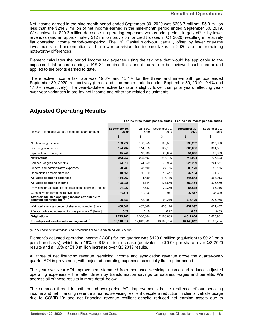# **Results of Operations**

Net income earned in the nine-month period ended September 30, 2020 was \$208.7 million; \$5.9 million less than the \$214.7 million of net income earned in the nine-month period ended September 30, 2019. We achieved a \$20.2 million decrease in operating expenses versus prior period, largely offset by lower revenues (and an approximately \$12 million provision for credit losses in Q1 2020) resulting in relatively flat operating income period-over-period. The 19<sup>th</sup> Capital work-out, partially offset by fewer one-time investments in transformation and a lower provision for income taxes in 2020 are the remaining noteworthy differences.

Element calculates the period income tax expense using the tax rate that would be applicable to the expected total annual earnings. IAS 34 requires this annual tax rate to be reviewed each quarter and applied to the profits earned to date.

The effective income tax rate was 19.8% and 15.4% for the three- and nine-month periods ended September 30, 2020, respectively (three- and nine-month periods ended September 30, 2019 - 9.4% and 17.0%, respectively). The year-to-date effective tax rate is slightly lower than prior years reflecting yearover-year variances in pre-tax net income and other tax-related adjustments.

|                                                                                           | For the three-month periods ended |                               |                             | For the nine-month periods ended |                             |
|-------------------------------------------------------------------------------------------|-----------------------------------|-------------------------------|-----------------------------|----------------------------------|-----------------------------|
| (in \$000's for stated values, except per share amounts)                                  | September 30,<br>2020<br>\$       | <b>June 30,</b><br>2020<br>\$ | September 30,<br>2019<br>\$ | September 30,<br>2020<br>\$      | September 30,<br>2019<br>\$ |
| Net financing revenue                                                                     | 103,272                           | 100.655                       | 100.531                     | 299,232                          | 310,963                     |
| Servicing income, net                                                                     | 124,734                           | 114,515                       | 122,181                     | 365,096                          | 364,591                     |
| Syndication revenue, net                                                                  | 15,246                            | 10,333                        | 23,084                      | 51,666                           | 62,039                      |
| Net revenue                                                                               | 243,252                           | 225,503                       | 245,796                     | 715,994                          | 737,593                     |
| Salaries, wages and benefits                                                              | 74,910                            | 74,859                        | 79,904                      | 225,239                          | 244,551                     |
| General and administrative expenses                                                       | 28,789                            | 28,590                        | 27,765                      | 89,170                           | 86,155                      |
| Depreciation and amortization                                                             | 10,568                            | 10,910                        | 10,477                      | 32,134                           | 31,307                      |
| Adjusted operating expenses (1)                                                           | 114,267                           | 114.359                       | 118,146                     | 346,543                          | 362,013                     |
| Adjusted operating income <sup>(1)</sup>                                                  | 128,985                           | 111,144                       | 127,650                     | 369,451                          | 375,580                     |
| Provision for taxes applicable to adjusted operating income                               | 21,927                            | 17,783                        | 22,339                      | 63,635                           | 68,246                      |
| Cumulative preferred share dividends                                                      | 10,875                            | 10,906                        | 11,071                      | 32,687                           | 33,399                      |
| After-tax adjusted operating income attributable to<br>common shareholders <sup>(1)</sup> | 96.183                            | 82,455                        | 94,240                      | 273,129                          | 273,935                     |
| Weighted average number of shares outstanding [basic]                                     | 438,842                           | 437.849                       | 435.140                     | 437,997                          | 434,487                     |
| After-tax adjusted operating income per share (1) [basic]                                 | 0.22                              | 0.19                          | 0.22                        | 0.62                             | 0.63                        |
| <b>Originations</b>                                                                       | 1,279,263                         | 1,306,804                     | 2,106,603                   | 4,617,054                        | 5,625,961                   |
| End-of-period assets under management (1)                                                 | 16.148.812                        | 17.049.689                    | 16, 169, 794                | 16,148,812                       | 16, 169, 794                |

# **Adjusted Operating Results**

*(1) For additional information, see "Description of Non-IFRS Measures" section.*

Element's adjusted operating income ("AOI") for the quarter was \$129.0 million (equivalent to \$0.22 on a per share basis), which is a 16% or \$18 million increase (equivalent to \$0.03 per share) over Q2 2020 results and a 1.0% or \$1.3 million increase over Q3 2019 results.

All three of net financing revenue, servicing income and syndication revenue drove the quarter-overquarter AOI improvement, with adjusted operating expenses essentially flat to prior period.

The year-over-year AOI improvement stemmed from increased servicing income and reduced adjusted operating expenses – the latter driven by transformation savings on salaries, wages and benefits. We address all of these results in more detail below.

The common thread in both period-over-period AOI improvements is the resilience of our servicing income and net financing revenue streams: servicing resilient despite a reduction in clients' vehicle usage due to COVID-19; and net financing revenue resilient despite reduced net earning assets due to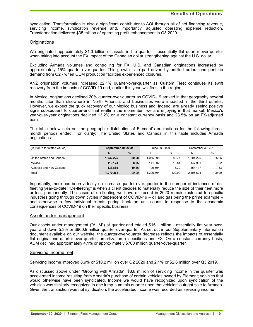syndication. Transformation is also a significant contributor to AOI through all of net financing revenue, servicing income, syndication revenue and, importantly, adjusted operating expense reduction. Transformation delivered \$35 million of operating profit enhancement in Q3 2020.

## **Originations**

We originated approximately \$1.3 billion of assets in the quarter – essentially flat quarter-over-quarter when taking into account the FX impact of the Canadian dollar strengthening against the U.S. dollar.

Excluding Armada volumes and controlling for FX, U.S. and Canadian originations increased by approximately 15% quarter-over-quarter. This growth is in part driven by unfilled orders and pent up demand from Q2 - when OEM production facilities experienced closures.

ANZ origination volumes increased 22.1% quarter-over-quarter as Custom Fleet continues its swift recovery from the impacts of COVID-19 and, earlier this year, wildfires in the region.

In Mexico, originations declined 20% quarter-over-quarter as COVID-19 arrived in that geography several months later than elsewhere in North America, and businesses were impacted in the third quarter. However, we expect the quick recovery of our Mexico business and, indeed, are already seeing positive signs subsequent to quarter-end that reaffirm the momentum we are enjoying in that market. Mexico's year-over-year originations declined 13.2% on a constant currency basis and 23.5% on an FX-adjusted basis.

The table below sets out the geographic distribution of Element's originations for the following threemonth periods ended. For clarity: The United States and Canada in this table includes Armada originations.

| (in \$000's for stated values) | <b>September 30, 2020</b> |       | June 30, 2020 |        | September 30, 2019 |        |  |
|--------------------------------|---------------------------|-------|---------------|--------|--------------------|--------|--|
|                                |                           | $\%$  |               | %      |                    | %      |  |
| United States and Canada       | 1,032,225                 | 80.68 | 1.055.608     | 80.77  | 1.804.225          | 85.65  |  |
| Mexico                         | 113.173                   | 8.85  | 141.602       | 10.84  | 147.961            | 7.02   |  |
| Australia and New Zealand      | 133.865                   | 10.46 | 109.594       | 8.39   | 154.417            | 7.33   |  |
| Total                          | 1,279,263                 | 99.99 | .306.804      | 100.00 | 2.106.603          | 100.00 |  |

Importantly, there has been virtually no increase quarter-over-quarter in the number of instances of defleeting year-to-date. "De-fleeting" is when a client decides to materially reduce the size of their fleet more or less permanently. The cases of de-fleeting we have on record in 2020 remain restricted to specific industries going through down cycles independent of COVID-19 – oil and gas being the prime example – and otherwise a few individual clients paring back on unit counts in response to the economic consequences of COVID-19 on their specific business.

### Assets under management

Our assets under management ("AUM") at quarter-end totaled \$16.1 billion - essentially flat year-overyear and down 5.3% or \$900.9 million quarter-over-quarter. As set out in our Supplementary Information document available on our website, the quarter-over-quarter decrease reflects the impacts of essentially flat originations quarter-over-quarter, amortization, dispositions and FX. On a constant currency basis, AUM declined approximately 4.1% or approximately \$700 million quarter-over-quarter.

### Servicing income, net

Servicing income improved 8.9% or \$10.2 million over Q2 2020 and 2.1% or \$2.6 million over Q3 2019.

As discussed above under "Growing with Armada", \$8.8 million of servicing income in the quarter was accelerated income resulting from Armada's purchase of certain vehicles owned by Element; vehicles that would otherwise have been syndicated. Income we would have recognized upon syndication of the vehicles was similarly recognized in one lump-sum this quarter upon the vehicles' outright sale to Armada. Given the transaction was not syndication, the accelerated income was recorded as servicing income.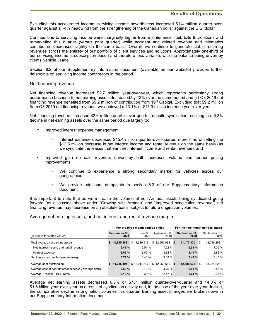# **Results of Operations**

Excluding this accelerated income, servicing income nevertheless increased \$1.4 million quarter-overquarter against a ~4% headwind from the strengthening of the Canadian dollar against the U.S. dollar.

Contributions to servicing income were marginally higher from maintenance, fuel, tolls & violations and remarketing this quarter (versus prior quarter) while accident and related revenue and telematics contributors decreased slightly on the same basis. Overall, we continue to generate stable recurring revenues across the entirety of our portfolio of client services and solutions. Approximately one-third of our servicing income is subscription-based and therefore less variable, with the balance being driven by clients' vehicle usage.

Section 8.2 of our Supplementary Information document (available on our website) provides further datapoints on servicing income contributors in the period.

#### Net financing revenue

Net financing revenue increased \$2.7 million year-over-year, which represents particularly strong performance because (i) net earning assets decreased by 13% over the same period and (ii) Q3 2019 net financing revenue benefited from \$9.2 million of contribution from 19<sup>th</sup> Capital. Excluding that \$9.2 million from Q3 2019 net financing revenue, we achieved a 13.1% or \$11.9 million increase year-over-year.

Net financing revenue increased \$2.6 million quarter-over-quarter, despite syndication resulting in a 6.3% decline in net earning assets over the same period due largely to:

- Improved interest expense management;
	- Interest expense decreased \$15.4 million quarter-over-quarter, more than offsetting the \$12.8 million decrease in net interest income and rental revenue on the same basis (as we syndicate the leases that earn net interest income and rental revenue); and
- Improved gain on sale revenue, driven by both increased volume and further pricing improvements.
	- We continue to experience a strong secondary market for vehicles across our geographies.
	- We provide additional datapoints in section 8.3 of our Supplementary Information document.

It is important to note that as we increase the volume of non-Armada assets being syndicated going forward (as discussed above under "Growing with Armada" and "Improved syndication revenue") net financing revenue may decrease on an absolute basis, subject to future origination volumes.

### Average net earning assets, and net interest and rental revenue margin

|                                                        |                       | For the three-month periods ended | For the nine-month periods ended |                       |                       |
|--------------------------------------------------------|-----------------------|-----------------------------------|----------------------------------|-----------------------|-----------------------|
| (in \$000's for stated values)                         | September 30,<br>2020 | June 30.<br>2020                  | September 30,<br>2019            | September 30,<br>2020 | September 30,<br>2019 |
| Total average net earning assets                       | 10.895.388<br>-S      | \$11.626.619                      | 12,662,992<br>\$                 | 11.477.320<br>\$      | S<br>13,046,268       |
| Net interest income and rental revenue                 | 6.48 %                | 6.51%                             | 7.02 %                           | 6.58 %                | 7.06 %                |
| Interest expense                                       | 2.69%                 | 3.05%                             | 3.84%                            | 3.10%                 | 3.88 %                |
| Net interest and rental revenue margin                 | 3.79%                 | 3.46%                             | 3.18%                            | 3.48%                 | 3.18%                 |
| Average debt outstanding                               | 11.715.194<br>s.      | \$12,944,547                      | \$12,950,680                     | 12.588.633<br>s.      | \$<br>13,224,226      |
| Average cost of debt (Interest expense / average debt) | 2.50%                 | 2.73%                             | 3.76%                            | 2.83%                 | 3.83%                 |
| Average 1-Month LIBOR rates                            | 0.16%                 | 0.35%                             | 2.47 %                           | 0.64%                 | 2.37%                 |

Average net earning assets decreased 6.3% or \$731 million quarter-over-quarter and 14.0% or \$1.8 billion year-over-year as a result of syndication activity and, in the case of the year-over-year decline, the comparative decline in origination volumes this quarter. Earning asset changes are broken down in our Supplementary Information document.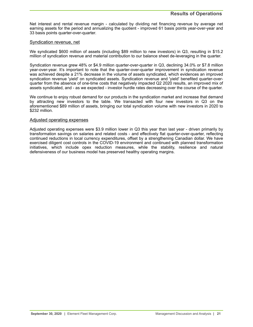Net interest and rental revenue margin - calculated by dividing net financing revenue by average net earning assets for the period and annualizing the quotient - improved 61 basis points year-over-year and 33 basis points quarter-over-quarter.

### Syndication revenue, net

We syndicated \$600 million of assets (including \$89 million to new investors) in Q3, resulting in \$15.2 million of syndication revenue and material contribution to our balance sheet de-leveraging in the quarter.

Syndication revenue grew 48% or \$4.9 million quarter-over-quarter in Q3, declining 34.0% or \$7.8 million year-over-year. It's important to note that the quarter-over-quarter improvement in syndication revenue was achieved despite a 21% decrease in the volume of assets syndicated, which evidences an improved syndication revenue 'yield' on syndicated assets. Syndication revenue and 'yield' benefited quarter-overquarter from the absence of one-time costs that negatively impacted Q2 2020 results, an improved mix of assets syndicated, and - as we expected - investor hurdle rates decreasing over the course of the quarter.

We continue to enjoy robust demand for our products in the syndication market and increase that demand by attracting new investors to the table. We transacted with four new investors in Q3 on the aforementioned \$89 million of assets, bringing our total syndication volume with new investors in 2020 to \$232 million.

### Adjusted operating expenses

Adjusted operating expenses were \$3.9 million lower in Q3 this year than last year - driven primarily by transformation savings on salaries and related costs - and effectively flat quarter-over-quarter, reflecting continued reductions in local currency expenditures, offset by a strengthening Canadian dollar. We have exercised diligent cost controls in the COVID-19 environment and continued with planned transformation initiatives, which include opex reduction measures, while the stability, resilience and natural defensiveness of our business model has preserved healthy operating margins.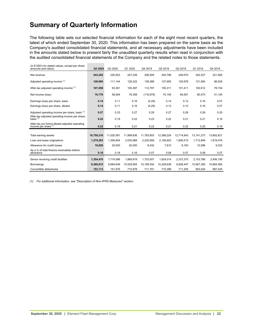# <span id="page-21-0"></span>**Summary of Quarterly Information**

The following table sets out selected financial information for each of the eight most recent quarters, the latest of which ended September 30, 2020. This information has been prepared on the same basis as the Company's audited consolidated financial statements, and all necessary adjustments have been included in the amounts stated below to present fairly the unaudited quarterly results when read in conjunction with the audited consolidated financial statements of the Company and the related notes to those statements.

| (in \$000's for stated values, except per share<br>amounts and ratios)   | Q3 2020    | Q2 2020    | Q1 2020    | Q4 2019    | Q3 2019    | Q2 2019    | Q1 2019      | Q4 2018    |
|--------------------------------------------------------------------------|------------|------------|------------|------------|------------|------------|--------------|------------|
| Net revenue                                                              | 243,252    | 225,503    | 247,239    | 256,509    | 245,796    | 249,570    | 242,227      | 221,480    |
| Adjusted operating income (1)                                            | 128,985    | 111,144    | 129,322    | 138,386    | 127,650    | 125,976    | 121,954      | 96,529     |
| After-tax adjusted operating income (1)                                  | 107,058    | 93,361     | 105.397    | 112,797    | 105.311    | 101.411    | 100.612      | 79,154     |
| Net income (loss)                                                        | 70,778     | 58,594     | 79,358     | (116, 978) | 70,145     | 64,061     | 80,473       | 41,145     |
| Earnings (loss) per share, basic                                         | 0.14       | 0.11       | 0.16       | (0.29)     | 0.14       | 0.12       | 0.16         | 0.07       |
| Earnings (loss) per share, diluted                                       | 0.14       | 0.11       | 0.16       | (0.29)     | 0.13       | 0.12       | 0.16         | 0.07       |
| Adjusted operating income per share, basic <sup>(1)</sup>                | 0.27       | 0.23       | 0.27       | 0.29       | 0.27       | 0.26       | 0.26         | 0.20       |
| After-tax adjusted operating income per share,<br>basic $(1)$            | 0.22       | 0.19       | 0.22       | 0.23       | 0.22       | 0.21       | 0.21         | 0.16       |
| After-tax pro forma diluted adjusted operating<br>income per share $(1)$ | 0.22       | 0.19       | 0.21       | 0.22       | 0.21       | 0.22       | 0.20         | 0.16       |
|                                                                          |            |            |            |            |            |            |              |            |
| Total earning assets                                                     | 10,750,218 | 11,025,581 | 11,999,636 | 11,783,853 | 12,388,224 | 12,714,943 | 13, 141, 273 | 13,662,821 |
| Loan and lease originations                                              | 1,279,263  | 1,306,804  | 2,030,988  | 2,225,909  | 2,106,603  | 1,806,515  | 1,712,849    | 1,819,476  |
| Allowance for credit losses                                              | 18,829     | 20,000     | 20,000     | 8,432      | 7,810      | 8,183      | 10,096       | 9,332      |
| As a % of total finance receivables before<br>allowance                  | 0.19       | 0.18       | 0.16       | 0.07       | 0.06       | 0.07       | 0.08         | 0.07       |
| Senior revolving credit facilities                                       | 1,354,470  | 1,774,086  | 1,869,919  | 1,703,507  | 1,824,014  | 2,372,370  | 2,153,786    | 2,406,195  |
| <b>Borrowings</b>                                                        | 9,380,815  | 9,984,649  | 10,529,564 | 10.189.354 | 10.329.638 | 9,828,447  | 10,567,390   | 10,864,585 |
| Convertible debentures                                                   | 153,113    | 151,976    | 715,978    | 711,791    | 715,399    | 711,305    | 903,024      | 897,435    |

*(1) For additional information, see "Description of Non-IFRS Measures" section.*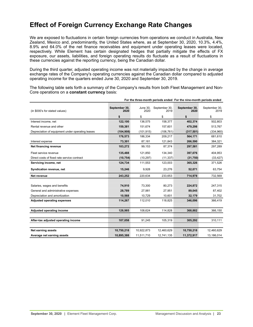# <span id="page-22-0"></span>**Effect of Foreign Currency Exchange Rate Changes**

We are exposed to fluctuations in certain foreign currencies from operations we conduct in Australia, New Zealand, Mexico and, predominantly, the United States where, as at September 30, 2020, 10.3%, 4.4%, 8.9% and 64.0% of the net finance receivables and equipment under operating leases were located, respectively. While Element has certain designated hedges that partially mitigate the effects of FX exposure, our assets, liabilities, and foreign operating results do fluctuate as a result of fluctuations in these currencies against the reporting currency, being the Canadian dollar.

During the third quarter, adjusted operating income was not materially impacted by the change in average exchange rates of the Company's operating currencies against the Canadian dollar compared to adjusted operating income for the quarters ended June 30, 2020 and September 30, 2019.

The following table sets forth a summary of the Company's results from both Fleet Management and Non-Core operations on a **constant currency** basis:

| (in \$000's for stated values)                   | September 30,<br>2020 | <b>June 30.</b><br>2020 | September 30,<br>2019 | September 30,<br>2020 | September 30,<br>2019 |
|--------------------------------------------------|-----------------------|-------------------------|-----------------------|-----------------------|-----------------------|
|                                                  | \$                    | \$                      | \$                    | \$                    | \$                    |
| Interest income, net                             | 122,100               | 136,575                 | 158,377               | 402,374               | 502,803               |
| Rental revenue and other                         | 159,381               | 151,674                 | 157,601               | 479,298               | 513,767               |
| Depreciation of equipment under operating leases | (104, 908)            | (101, 915)              | (106, 761)            | (317, 501)            | (334, 960)            |
|                                                  | 176,573               | 186,334                 | 209,217               | 564,171               | 681,610               |
| Interest expense                                 | 73,301                | 87,181                  | 121,843               | 266,590               | 384,321               |
| Net financing revenue                            | 103,272               | 99,153                  | 87,374                | 297,581               | 297,289               |
| Fleet service revenue                            | 135,488               | 121,850                 | 134,340               | 397,076               | 404,953               |
| Direct costs of fixed rate service contract      | (10, 754)             | (10, 297)               | (11, 337)             | (31,750)              | (33, 427)             |
| Servicing income, net                            | 124,734               | 111,553                 | 123,003               | 365,326               | 371,526               |
| Syndication revenue, net                         | 15,246                | 9,928                   | 23,276                | 52,071                | 63,754                |
| Net revenue                                      | 243,252               | 220,634                 | 233,653               | 714,978               | 732,569               |
|                                                  |                       |                         |                       |                       |                       |
| Salaries, wages and benefits                     | 74,910                | 73,300                  | 80,273                | 224,872               | 247,315               |
| General and administrative expenses              | 28,789                | 27,981                  | 27,951                | 89,045                | 87,402                |
| Depreciation and amortization                    | 10,568                | 10,729                  | 10,601                | 32,179                | 31,702                |
| <b>Adjusted operating expenses</b>               | 114,267               | 112,010                 | 118,825               | 346,096               | 366,419               |
|                                                  |                       |                         |                       |                       |                       |
| Adjusted operating income                        | 128,985               | 108,624                 | 114,828               | 368,882               | 366,150               |
|                                                  |                       |                         |                       |                       |                       |
| After-tax adjusted operating income              | 107,058               | 91,245                  | 105,319               | 305,292               | 310,111               |
|                                                  |                       |                         |                       |                       |                       |
| <b>Net earning assets</b>                        | 10,750,218            | 10,922,873              | 12,460,629            | 10,750,218            | 12,460,629            |
| Average net earning assets                       | 10,895,388            | 11,511,710              | 12,741,135            | 11,372,917            | 13,186,014            |

**For the three-month periods ended For the nine-month periods ended**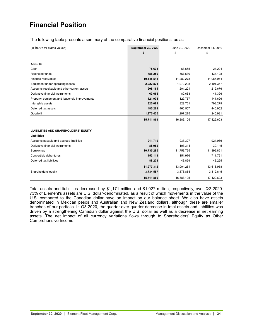# <span id="page-23-0"></span>**Financial Position**

The following table presents a summary of the comparative financial positions, as at:

| (in \$000's for stated values)                 | September 30, 2020 | June 30, 2020 | December 31, 2019 |
|------------------------------------------------|--------------------|---------------|-------------------|
|                                                | \$                 | \$            | \$                |
|                                                |                    |               |                   |
| <b>ASSETS</b>                                  |                    |               |                   |
| Cash                                           | 75,633             | 63,665        | 24,224            |
| <b>Restricted funds</b>                        | 488,250            | 567,630       | 434,128           |
| Finance receivables                            | 10,145,518         | 11,282,278    | 11,986,974        |
| Equipment under operating leases               | 2,022,871          | 1,970,298     | 2,101,367         |
| Accounts receivable and other current assets   | 208,161            | 201,221       | 219,676           |
| Derivative financial instruments               | 63,665             | 80,663        | 41,396            |
| Property, equipment and leasehold improvements | 121,978            | 129,757       | 141,626           |
| Intangible assets                              | 825,089            | 829,761       | 793,279           |
| Deferred tax assets                            | 485,269            | 460,557       | 440,952           |
| Goodwill                                       | 1,275,435          | 1,297,275     | 1,245,981         |
|                                                | 15,711,869         | 16,883,105    | 17,429,603        |
|                                                |                    |               |                   |
| <b>LIABILITIES AND SHAREHOLDERS' EQUITY</b>    |                    |               |                   |
| <b>Liabilities</b>                             |                    |               |                   |
| Accounts payable and accrued liabilities       | 911,719            | 937,327       | 924,936           |
| Derivative financial instruments               | 88,962             | 107,314       | 39,145            |
| <b>Borrowings</b>                              | 10,735,285         | 11,758,735    | 11,892,861        |
| Convertible debentures                         | 153,113            | 151,976       | 711,791           |
| Deferred tax liabilities                       | 88,233             | 48,899        | 48,225            |
|                                                | 11,977,312         | 13,004,251    | 13,616,958        |
| Shareholders' equity                           | 3,734,557          | 3,878,854     | 3,812,645         |
|                                                | 15,711,869         | 16,883,105    | 17,429,603        |

Total assets and liabilities decreased by \$1,171 million and \$1,027 million, respectively, over Q2 2020. 73% of Element's assets are U.S. dollar-denominated, as a result of which movements in the value of the U.S. compared to the Canadian dollar have an impact on our balance sheet. We also have assets denominated in Mexican pesos and Australian and New Zealand dollars, although these are smaller tranches of our portfolio. In Q3 2020, the quarter-over-quarter decrease in total assets and liabilities was driven by a strengthening Canadian dollar against the U.S. dollar as well as a decrease in net earning assets. The net impact of all currency variations flows through to Shareholders' Equity as Other Comprehensive Income.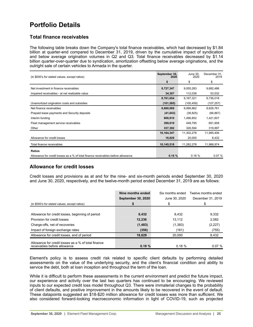# <span id="page-24-0"></span>**Portfolio Details**

# **Total finance receivables**

The following table breaks down the Company's total finance receivables, which had decreased by \$1.84 billion at quarter-end compared to December 31, 2019, driven by the cumulative impact of syndication and below average origination volumes in Q2 and Q3. Total finance receivables decreased by \$1.14 billion quarter-over-quarter due to syndication, amortization offsetting below average originations, and the outright sale of certain vehicles to Armada in the quarter.

| (in \$000's for stated values, except ratios)                                    | September 30,<br>2020 | June 30,<br>2020 | December 31,<br>2019 |
|----------------------------------------------------------------------------------|-----------------------|------------------|----------------------|
|                                                                                  | \$                    | \$               | \$                   |
| Net investment in finance receivables                                            | 8,727,347             | 9,055,283        | 9,682,486            |
| Impaired receivables - at net realizable value                                   | 34,307                | 112,038          | 53,532               |
|                                                                                  | 8,761,654             | 9,167,321        | 9,736,018            |
| Unamortized origination costs and subsidies                                      | (101, 585)            | (100, 459)       | (107, 257)           |
| Net finance receivables                                                          | 8,660,069             | 9,066,862        | 9,628,761            |
| Prepaid lease payments and Security deposits                                     | (41, 643)             | (36, 825)        | (66, 867)            |
| Interim funding                                                                  | 808,910               | 1,496,852        | 1,421,607            |
| Fleet management service receivables                                             | 399,619               | 448,795          | 691,908              |
| Other                                                                            | 337,392               | 326,594          | 319,997              |
|                                                                                  | 10,164,347            | 11,302,278       | 11,995,406           |
| Allowance for credit losses                                                      | 18,829                | 20,000           | 8,432                |
| Total finance receivables                                                        | 10,145,518            | 11,282,278       | 11,986,974           |
| <b>Ratios</b>                                                                    |                       |                  |                      |
| Allowance for credit losses as a % of total finance receivables before allowance | 0.19%                 | 0.18%            | 0.07%                |

# **Allowance for credit losses**

Credit losses and provisions as at and for the nine- and six-month periods ended September 30, 2020 and June 30, 2020, respectively, and the twelve-month period ended December 31, 2019 are as follows:

|                                                                                     | Nine months ended         | Six months ended | Twelve months ended |
|-------------------------------------------------------------------------------------|---------------------------|------------------|---------------------|
|                                                                                     | <b>September 30, 2020</b> | June 30, 2020    | December 31, 2019   |
| (in \$000's for stated values, except ratios)                                       |                           |                  |                     |
|                                                                                     |                           |                  |                     |
| Allowance for credit losses, beginning of period                                    | 8,432                     | 8,432            | 9,332               |
| Provision for credit losses                                                         | 12,236                    | 13.112           | 2,082               |
| Charge-offs, net of recoveries                                                      | (1, 483)                  | (1, 383)         | (2,227)             |
| Impact of foreign exchange rates                                                    | (356)                     | (161)            | (755)               |
| Allowance for credit losses, end of period                                          | 18,829                    | 20.000           | 8,432               |
| Allowance for credit losses as a % of total finance<br>receivables before allowance | 0.19%                     | 0.18%            | 0.07%               |

Element's policy is to assess credit risk related to specific client defaults by performing detailed assessments on the value of the underlying security, and the client's financial condition and ability to service the debt, both at loan inception and throughout the term of the loan.

While it is difficult to perform these assessments in the current environment and predict the future impact, our experience and activity over the last two quarters has continued to be encouraging. We reviewed inputs to our expected credit loss model throughout Q3. There were immaterial changes to the probability of client defaults, and positive improvement in the amounts likely to be recovered in the event of default. These datapoints suggested an \$18-\$20 million allowance for credit losses was more than sufficient. We also considered forward-looking macroeconomic information in light of COVID-19, such as projected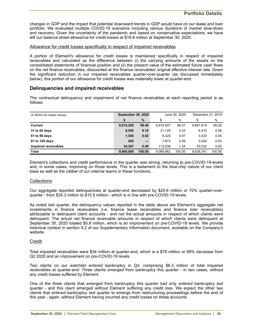changes in GDP and the impact that potential downward trends in GDP would have on our lease and loan portfolio. We evaluated multiple COVID-19 scenarios including various durations of market slow-down and recovery. Given the uncertainty of the pandemic and based on conservative expectations, we have left our balance sheet allowance for credit losses at \$18.8 million at September 30, 2020.

## Allowance for credit losses specifically in respect of impaired receivables

A portion of Element's allowance for credit losses is maintained specifically in respect of impaired receivables and calculated as the difference between (i) the carrying amounts of the assets on the consolidated statements of financial position and (ii) the present value of the estimated future cash flows on the net finance receivables, discounted at the finance receivables' original effective interest rate. Given the significant reduction in our impaired receivables quarter-over-quarter (as discussed immediately below), this portion of our allowance for credit losses was materially lower at quarter-end.

# **Delinquencies and impaired receivables**

The contractual delinquency and impairment of net finance receivables at each reporting period is as follows:

| (in \$000's for stated values) | <b>September 30, 2020</b> |        |           | June 30, 2020 | December 31, 2019 |        |  |
|--------------------------------|---------------------------|--------|-----------|---------------|-------------------|--------|--|
|                                | \$                        | $\%$   | \$        | %             | S                 | %      |  |
| <b>Current</b>                 | 8,615,256                 | 99.48  | 8.919.507 | 98.37         | 9.667.619         | 99.29  |  |
| 31 to 60 days                  | 8,545                     | 0.10   | 21,120    | 0.23          | 8.410             | 0.09   |  |
| 61 to 90 days                  | 1,536                     | 0.02   | 6.324     | 0.07          | 3.433             | 0.04   |  |
| 91 to 120 days                 | 425                       |        | 7,873     | 0.09          | 3.024             | 0.03   |  |
| Impaired receivables           | 34.307                    | 0.40   | 112.038   | 1.24          | 53.532            | 0.55   |  |
| Total                          | 8.660.069                 | 100.00 | 9.066.862 | 100.00        | 9.628.761         | 100.00 |  |

Element's collections and credit performance in the quarter was strong, returning to pre-COVID-19-levels and, in some cases, improving on those levels. This is a testament to the blue-chip nature of our client base as well as the caliber of our internal teams in these functions.

### **Collections**

Our aggregate reported delinquencies at quarter-end decreased by \$24.8 million or 70% quarter-overquarter - from \$35.3 million to \$10.5 million - which is in line with pre-COVID-19 levels.

As noted last quarter, the delinquency values reported in the table above are Element's aggregate net investments in finance receivables (i.e. finance lease receivables and finance loan receivables) attributable to delinquent client accounts - and not the actual amounts in respect of which clients were delinquent. The actual net finance receivable amounts in respect of which clients were delinquent at September 30, 2020 totaled \$0.9 million, which is an improvement on pre-COVID-19 levels. We provide historical context in section 9.2 of our Supplementary Information document, available on the Company's website.

# **Credit**

Total impaired receivables were \$34 million at quarter-end, which is a \$78 million or 69% decrease from Q2 2020 and an improvement on pre-COVID-19 levels.

Two clients on our watchlist *entered* bankruptcy in Q3, comprising \$6.3 million of total impaired receivables at quarter-end. Three clients *emerged* from bankruptcy *this quarter* - in two cases, without any credit losses suffered by Element.

One of the three clients that *emerged* from bankruptcy *this quarter* had only *entered* bankruptcy *last*  quarter - and this client emerged without Element suffering any credit loss. We expect the other two clients that *entered* bankruptcy *last* quarter to emerge from restructuring proceedings before the end of this year - again, without Element having incurred any credit losses on these accounts.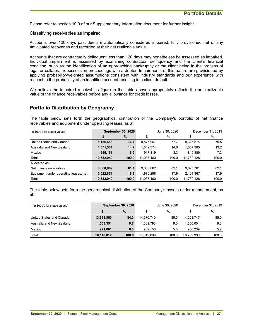Please refer to section 10.0 of our Supplementary Information document for further insight.

#### Classifying receivables as impaired

Accounts over 120 days past due are automatically considered impaired, fully provisioned net of any anticipated recoveries and recorded at their net realizable value.

Accounts that are contractually delinquent less than 120 days may nonetheless be assessed as impaired. Individual impairment is assessed by examining contractual delinquency and the client's financial condition, such as the identification of an approaching bankruptcy or the client being in the process of legal or collateral repossession proceedings with a debtor. Impairments of this nature are provisioned by applying probability-weighted assumptions consistent with industry standards and our experience with respect to the probability of an identified account resulting in a client default.

We believe the impaired receivables figure in the table above appropriately reflects the net realizable value of the finance receivables before any allowance for credit losses.

# **Portfolio Distribution by Geography**

The table below sets forth the geographical distribution of the Company's portfolio of net finance receivables and equipment under operating leases, as at:

| (in \$000's for stated values)        |            | <b>September 30, 2020</b> | June 30, 2020 |       | December 31, 2019 |       |  |
|---------------------------------------|------------|---------------------------|---------------|-------|-------------------|-------|--|
|                                       | \$         | %                         | \$            | %     | \$                | %     |  |
| United States and Canada              | 8,156,488  | 76.4                      | 8,576,967     | 77.7  | 9,326,874         | 79.5  |  |
| Australia and New Zealand             | 1,571,301  | 14.7                      | 1,542,374     | 14.0  | 1,557,365         | 13.2  |  |
| Mexico                                | 955,151    | 8.9                       | 917,819       | 8.3   | 845,889           | 7.3   |  |
| Total                                 | 10,682,940 | 100.0                     | 11,037,160    | 100.0 | 11,730,128        | 100.0 |  |
| Allocated as:                         |            |                           |               |       |                   |       |  |
| Net finance receivables               | 8,660,069  | 81.1                      | 9,066,862     | 82.1  | 9,628,761         | 82.1  |  |
| Equipment under operating leases, net | 2,022,871  | 18.9                      | 1,970,298     | 17.9  | 2,101,367         | 17.9  |  |
| Total                                 | 10,682,940 | 100.0                     | 11,037,160    | 100.0 | 11,730,128        | 100.0 |  |

The table below sets forth the geographical distribution of the Company's assets under management, as at:

| (in \$000's for stated values) |            | <b>September 30, 2020</b> | June 30, 2020 |       | December 31, 2019 |       |  |
|--------------------------------|------------|---------------------------|---------------|-------|-------------------|-------|--|
|                                |            | $\%$                      |               | %     | \$                | %     |  |
| United States and Canada       | 13,613,860 | 84.3                      | 14.570.740    | 85.5  | 14.203.747        | 85.0  |  |
| Australia and New Zealand      | 1.563.351  | 9.7                       | 1.539.793     | 9.0   | 1.550.004         | 9.3   |  |
| Mexico                         | 971.601    | 6.0                       | 939.156       | 5.5   | 956.239           | 5.7   |  |
| Total                          | 16,148,812 | 100.0                     | 17.049.689    | 100.0 | 16.709.990        | 100.0 |  |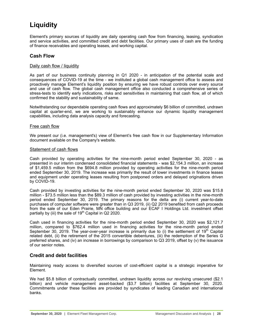# <span id="page-27-0"></span>**Liquidity**

Element's primary sources of liquidity are daily operating cash flow from financing, leasing, syndication and service activities, and committed credit and debt facilities. Our primary uses of cash are the funding of finance receivables and operating leases, and working capital.

# **Cash Flow**

# Daily cash flow / liquidity

As part of our business continuity planning in Q1 2020 - in anticipation of the potential scale and consequences of COVID-19 at the time - we instituted a global cash management office to assess and proactively manage Element's liquidity position by ensuring we have robust controls over every source and use of cash flow. The global cash management office also conducted a comprehensive series of stress-tests to identify early indications, risks and sensitivities in maintaining that cash flow, all of which confirmed the stability and sustainability of same.

Notwithstanding our dependable operating cash flows and approximately \$6 billion of committed, undrawn capital at quarter-end, we are working to sustainably enhance our dynamic liquidity management capabilities, including data analysis capacity and forecasting.

# Free cash flow

We present our (i.e. management's) view of Element's free cash flow in our Supplementary Information document available on the Company's website.

### Statement of cash flows

Cash provided by operating activities for the nine-month period ended September 30, 2020 - as presented in our interim condensed consolidated financial statements - was \$2,154.3 million, an increase of \$1,459.5 million from the \$694.8 million provided by operating activities for the nine-month period ended September 30, 2019. The increase was primarily the result of lower investments in finance leases and equipment under operating leases resulting from postponed orders and delayed originations driven by COVID-19.

Cash provided by investing activities for the nine-month period ended September 30, 2020 was \$15.8 million - \$73.5 million less than the \$89.3 million of cash provided by investing activities in the nine-month period ended September 30, 2019. The primary reasons for the delta are (i) current year-to-date purchases of computer software were greater than in Q3 2019, (ii) Q2 2019 benefited from cash proceeds from the sale of our Eden Prairie, MN office building and our ECAF I Holdings Ltd. investment offset partially by (iii) the sale of  $19<sup>th</sup>$  Capital in Q2 2020.

Cash used in financing activities for the nine-month period ended September 30, 2020 was \$2,121.7 million, compared to \$762.4 million used in financing activities for the nine-month period ended September 30, 2019. The year-over-year increase is primarily due to (i) the settlement of  $19<sup>th</sup>$  Capital related debt, (ii) the retirement of the 2015 convertible debentures, (iii) the redemption of the Series G preferred shares, and (iv) an increase in borrowings by comparison to Q3 2019, offset by (v) the issuance of our senior notes.

# **Credit and debt facilities**

Maintaining ready access to diversified sources of cost-efficient capital is a strategic imperative for Element.

We had \$5.8 billion of contractually committed, undrawn liquidity across our revolving unsecured (\$2.1) billion) and vehicle management asset-backed (\$3.7 billion) facilities at September 30, 2020. Commitments under these facilities are provided by syndicates of leading Canadian and international banks.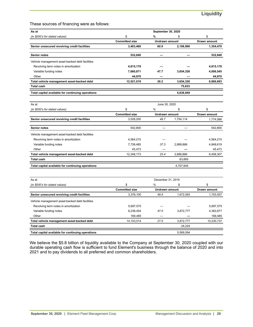These sources of financing were as follows:

| As at                                             | September 30, 2020    |                       |                       |                     |  |  |  |  |  |
|---------------------------------------------------|-----------------------|-----------------------|-----------------------|---------------------|--|--|--|--|--|
| (in \$000's for stated values)                    | \$                    | %                     | \$                    | \$                  |  |  |  |  |  |
|                                                   | <b>Committed size</b> | <b>Undrawn amount</b> |                       | <b>Drawn amount</b> |  |  |  |  |  |
| Senior unsecured revolving credit facilities      | 3,463,460             | 60.9                  | 2,108,990             | 1,354,470           |  |  |  |  |  |
| <b>Senior notes</b>                               | 532,840               |                       |                       | 532,840             |  |  |  |  |  |
| Vehicle management asset-backed debt facilities   |                       |                       |                       |                     |  |  |  |  |  |
| Revolving term notes in amortization              | 4,815,178             |                       |                       | 4,815,178           |  |  |  |  |  |
| Variable funding notes                            | 7,660,871             | 47.7                  | 3,654,326             | 4,006,545           |  |  |  |  |  |
| Other                                             | 44,970                |                       |                       | 44,970              |  |  |  |  |  |
| Total vehicle management asset-backed debt        | 12,521,019            | 29.2                  | 3,654,326             | 8,866,693           |  |  |  |  |  |
| <b>Total cash</b>                                 |                       |                       | 75,633                |                     |  |  |  |  |  |
| Total capital available for continuing operations |                       |                       | 5,838,949             |                     |  |  |  |  |  |
| As at                                             |                       | June 30, 2020         |                       |                     |  |  |  |  |  |
| (in \$000's for stated values)                    | \$                    | %                     | \$                    | \$                  |  |  |  |  |  |
|                                                   | <b>Committed size</b> |                       | <b>Undrawn amount</b> |                     |  |  |  |  |  |
| Senior unsecured revolving credit facilities      | 3,528,200             | 49.7                  | 1,754,114             | 1,774,086           |  |  |  |  |  |
| <b>Senior notes</b>                               | 542.800               |                       |                       | 542,800             |  |  |  |  |  |
| Vehicle management asset-backed debt facilities   |                       |                       |                       |                     |  |  |  |  |  |
| Revolving term notes in amortization              | 4,564,215             |                       |                       | 4,564,215           |  |  |  |  |  |
| Variable funding notes                            | 7,738,485             | 37.3                  | 2,889,866             | 4,848,619           |  |  |  |  |  |
| Other                                             | 45,473                |                       |                       | 45,473              |  |  |  |  |  |
| Total vehicle management asset-backed debt        | 12,348,173            | 23.4                  | 2,889,866             | 9,458,307           |  |  |  |  |  |
| <b>Total cash</b>                                 |                       |                       | 63,665                |                     |  |  |  |  |  |
| Total capital available for continuing operations |                       |                       | 4,707,645             |                     |  |  |  |  |  |
|                                                   |                       |                       |                       |                     |  |  |  |  |  |
| As at                                             |                       | December 31, 2019     |                       |                     |  |  |  |  |  |

| As at                                             | December 31, 2019     |                |           |              |  |  |  |
|---------------------------------------------------|-----------------------|----------------|-----------|--------------|--|--|--|
| (in \$000's for stated values)                    | \$                    | %              | \$        | \$           |  |  |  |
|                                                   | <b>Committed size</b> | Undrawn amount |           | Drawn amount |  |  |  |
| Senior unsecured revolving credit facilities      | 3,376,100             | 49.5           | 1,672,593 | 1,703,507    |  |  |  |
| Vehicle management asset-backed debt facilities   |                       |                |           |              |  |  |  |
| Revolving term notes in amortization              | 5,697,575             |                |           | 5,697,575    |  |  |  |
| Variable funding notes                            | 8,236,454             | 47.0           | 3.872.777 | 4,363,677    |  |  |  |
| Other                                             | 169.485               |                |           | 169,485      |  |  |  |
| Total vehicle management asset-backed debt        | 14,103,514            | 27.5           | 3,872,777 | 10,230,737   |  |  |  |
| <b>Total cash</b>                                 |                       |                | 24.224    |              |  |  |  |
| Total capital available for continuing operations |                       |                | 5.569.594 |              |  |  |  |

We believe the \$5.8 billion of liquidity available to the Company at September 30, 2020 coupled with our durable operating cash flow is sufficient to fund Element's business through the balance of 2020 and into 2021 and to pay dividends to all preferred and common shareholders.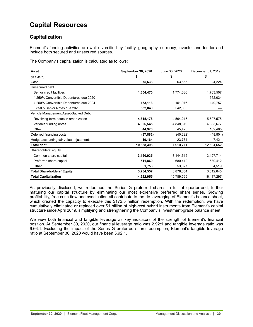# <span id="page-29-0"></span>**Capital Resources**

# **Capitalization**

Element's funding activities are well diversified by facility, geography, currency, investor and lender and include both secured and unsecured sources.

The Company's capitalization is calculated as follows:

| As at                                   | <b>September 30, 2020</b> | June 30, 2020 | December 31, 2019 |
|-----------------------------------------|---------------------------|---------------|-------------------|
| (in \$000's)                            | \$                        | \$            | \$                |
| Cash                                    | 75,633                    | 63.665        | 24,224            |
| Unsecured debt                          |                           |               |                   |
| Senior credit facilities                | 1,354,470                 | 1,774,086     | 1,703,507         |
| 4.250% Convertible Debentures due 2020  |                           |               | 562,034           |
| 4.250% Convertible Debentures due 2024  | 153,113                   | 151,976       | 149,757           |
| 3.850% Senior Notes due 2025            | 532,840                   | 542,800       |                   |
| Vehicle Management Asset-Backed Debt    |                           |               |                   |
| Revolving term notes in amortization    | 4,815,178                 | 4,564,215     | 5,697,575         |
| Variable funding notes                  | 4,006,545                 | 4,848,619     | 4,363,677         |
| Other                                   | 44,970                    | 45,473        | 169,485           |
| Deferred financing costs                | (37, 882)                 | (40, 232)     | (48, 804)         |
| Hedge accounting fair value adjustments | 19,164                    | 23,774        | 7,421             |
| <b>Total debt</b>                       | 10,888,398                | 11,910,711    | 12,604,652        |
| Shareholders' equity                    |                           |               |                   |
| Common share capital                    | 3,160,935                 | 3,144,615     | 3,127,714         |
| Preferred share capital                 | 511,869                   | 680,412       | 680,412           |
| Other                                   | 61,753                    | 53,827        | 4,519             |
| <b>Total Shareholders' Equity</b>       | 3,734,557                 | 3,878,854     | 3,812,645         |
| <b>Total Capitalization</b>             | 14,622,955                | 15,789,565    | 16,417,297        |

As previously disclosed, we redeemed the Series G preferred shares in full at quarter-end, further maturing our capital structure by eliminating our most expensive preferred share series. Growing profitability, free cash flow and syndication all contribute to the de-leveraging of Element's balance sheet, which created the capacity to execute this \$172.5 million redemption. With the redemption, we have cumulatively eliminated or replaced over \$1 billion of high-cost hybrid instruments from Element's capital structure since April 2019, simplifying and strengthening the Company's investment-grade balance sheet.

We view both financial and tangible leverage as key indicators of the strength of Element's financial position. At September 30, 2020, our financial leverage ratio was 2.92:1 and tangible leverage ratio was 6.66:1. Excluding the impact of the Series G preferred share redemption, Element's tangible leverage ratio at September 30, 2020 would have been 5.92:1.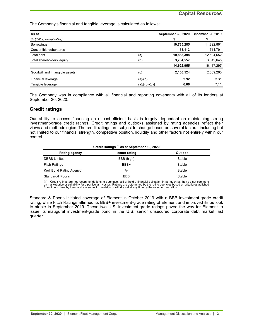The Company's financial and tangible leverage is calculated as follows:

| As at                          |                 | <b>September 30, 2020</b> | December 31, 2019 |
|--------------------------------|-----------------|---------------------------|-------------------|
| (in \$000's, except ratios)    |                 | \$                        | \$                |
| <b>Borrowings</b>              |                 | 10,735,285                | 11,892,861        |
| Convertible debentures         |                 | 153,113                   | 711,791           |
| Total debt                     | (a)             | 10,888,398                | 12,604,652        |
| Total shareholders' equity     | (b)             | 3,734,557                 | 3,812,645         |
|                                |                 | 14,622,955                | 16,417,297        |
| Goodwill and intangible assets | (c)             | 2,100,524                 | 2,039,260         |
| Financial leverage             | (a)/(b)         | 2.92                      | 3.31              |
| Tangible leverage              | $(a)/[(b)-(c)]$ | 6.66                      | 7.11              |

The Company was in compliance with all financial and reporting covenants with all of its lenders at September 30, 2020.

# **Credit ratings**

Our ability to access financing on a cost-efficient basis is largely dependent on maintaining strong investment-grade credit ratings. Credit ratings and outlooks assigned by rating agencies reflect their views and methodologies. The credit ratings are subject to change based on several factors, including but not limited to our financial strength, competitive position, liquidity and other factors not entirely within our control.

| Credit Ratings <sup>(1)</sup> as at September 30, 2020 |                |  |  |  |  |  |  |
|--------------------------------------------------------|----------------|--|--|--|--|--|--|
| <b>Issuer rating</b>                                   | <b>Outlook</b> |  |  |  |  |  |  |
| BBB (high)                                             | Stable         |  |  |  |  |  |  |
| BBB+                                                   | Stable         |  |  |  |  |  |  |
| А-                                                     | Stable         |  |  |  |  |  |  |
| <b>BBB</b>                                             | Stable         |  |  |  |  |  |  |
|                                                        |                |  |  |  |  |  |  |

(1) Credit ratings are not recommendations to purchase, sell or hold a financial obligation in as much as they do not comment<br>on market price or suitability for a particular investor. Ratings are determined by the rating a from time to time by them and are subject to revision or withdrawal at any time by the rating organization.

Standard & Poor's initiated coverage of Element in October 2019 with a BBB investment-grade credit rating, while Fitch Ratings affirmed its BBB+ investment-grade rating of Element and improved its outlook to stable in September 2019. These two U.S. investment-grade ratings paved the way for Element to issue its inaugural investment-grade bond in the U.S. senior unsecured corporate debt market last quarter.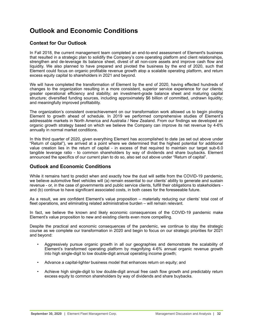# <span id="page-31-0"></span>**Outlook and Economic Conditions**

# **Context for Our Outlook**

In Fall 2018, the current management team completed an end-to-end assessment of Element's business that resulted in a strategic plan to solidify the Company's core operating platform and client relationships, strengthen and de-leverage its balance sheet, divest of all non-core assets and improve cash flow and liquidity. We also planned to have prepared and pivoted the business by the end of 2020, such that Element could focus on organic profitable revenue growth atop a scalable operating platform, and return excess equity capital to shareholders in 2021 and beyond.

We will have completed the transformation of Element by the end of 2020, having effected hundreds of changes to the organization resulting in a more consistent, superior service experience for our clients; greater operational efficiency and stability; an investment-grade balance sheet and maturing capital structure; diversified funding sources, including approximately \$6 billion of committed, undrawn liquidity; and meaningfully improved profitability.

The organization's consistent overachievement on our transformation work allowed us to begin pivoting Element to growth ahead of schedule. In 2019 we performed comprehensive studies of Element's addressable markets in North America and Australia / New Zealand. From our findings we developed an organic growth strategy based on which we believe the Company can improve its net revenue by 4-6% annually in normal market conditions.

In this third quarter of 2020, given everything Element has accomplished to date (as set out above under "Return of capital"), we arrived at a point where we determined that the highest potential for additional value creation lies in the return of capital - in excess of that required to maintain our target sub-6.0 tangible leverage ratio - to common shareholders by way of dividends and share buybacks. Element announced the specifics of our current plan to do so, also set out above under "Return of capital".

# **Outlook and Economic Conditions**

While it remains hard to predict when and exactly how the dust will settle from the COVID-19 pandemic, we believe automotive fleet vehicles will (a) remain essential to our clients' ability to generate and sustain revenue - or, in the case of governments and public service clients, fulfill their obligations to stakeholders and (b) continue to have significant associated costs, in both cases for the foreseeable future.

As a result, we are confident Element's value proposition – materially reducing our clients' total cost of fleet operations, and eliminating related administrative burden – will remain relevant.

In fact, we believe the known and likely economic consequences of the COVID-19 pandemic make Element's value proposition to new and existing clients even more compelling.

Despite the practical and economic consequences of the pandemic, we continue to stay the strategic course as we complete our transformation in 2020 and begin to focus on our strategic priorities for 2021 and beyond:

- Aggressively pursue organic growth in all our geographies and demonstrate the scalability of Element's transformed operating platform by magnifying 4-6% annual organic revenue growth into high single-digit to low double-digit annual operating income growth;
- Advance a capital-light*er* business model that enhances return on equity; and
- Achieve high single-digit to low double-digit annual free cash flow growth and predictably return excess equity to common shareholders by way of dividends and share buybacks.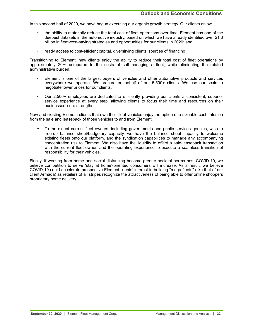In this second half of 2020, we have begun executing our organic growth strategy. Our clients enjoy:

- the ability to materially reduce the total cost of fleet operations over time. Element has one of the deepest datasets in the automotive industry, based on which we have already identified over \$1.3 billion in fleet-cost-saving strategies and opportunities for our clients in 2020; and
- ready access to cost-efficient capital, diversifying clients' sources of financing.

Transitioning to Element, new clients enjoy the ability to reduce their total cost of fleet operations by approximately 20% compared to the costs of self-managing a fleet, while eliminating the related administrative burden.

- Element is one of the largest buyers of vehicles and other automotive products and services everywhere we operate. We procure on behalf of our 5,500+ clients. We use our scale to negotiate lower prices for our clients.
- Our 2,500+ employees are dedicated to efficiently providing our clients a consistent, superior service experience at every step, allowing clients to focus their time and resources on their businesses' core strengths.

New and existing Element clients that own their fleet vehicles enjoy the option of a sizeable cash infusion from the sale and leaseback of those vehicles to and from Element.

• To the extent current fleet owners, including governments and public service agencies, wish to free-up balance sheet/budgetary capacity, we have the balance sheet capacity to welcome existing fleets onto our platform, and the syndication capabilities to manage any accompanying concentration risk to Element. We also have the liquidity to effect a sale-leaseback transaction with the current fleet owner, and the operating experience to execute a seamless transition of responsibility for their vehicles.

Finally, if working from home and social distancing become greater societal norms post-COVID-19, we believe competition to serve 'stay at home'-oriented consumers will increase. As a result, we believe COVID-19 could accelerate prospective Element clients' interest in building "mega fleets" (like that of our client Armada) as retailers of all stripes recognize the attractiveness of being able to offer online shoppers proprietary home delivery.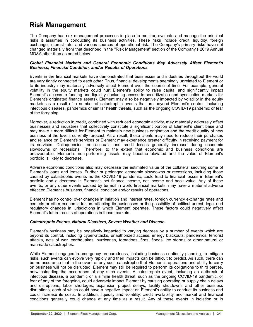# <span id="page-33-0"></span>**Risk Management**

The Company has risk management processes in place to monitor, evaluate and manage the principal risks it assumes in conducting its business activities. These risks include credit, liquidity, foreign exchange, interest rate, and various sources of operational risk. The Company's primary risks have not changed materially from that described in the "Risk Management" section of the Company's 2019 Annual MD&A other than as noted below.

### *Global Financial Markets and General Economic Conditions May Adversely Affect Element's Business, Financial Condition, and/or Results of Operations*

Events in the financial markets have demonstrated that businesses and industries throughout the world are very tightly connected to each other. Thus, financial developments seemingly unrelated to Element or to its industry may materially adversely affect Element over the course of time. For example, general volatility in the equity markets could hurt Element's ability to raise capital and significantly impact Element's access to funding and liquidity (including access to securitization and syndication markets for Element's originated finance assets). Element may also be negatively impacted by volatility in the equity markets as a result of a number of catastrophic events that are beyond Element's control, including infectious diseases, pandemics or similar health threats, such as the ongoing COVID-19 pandemic or fear of the foregoing.

Moreover, a reduction in credit, combined with reduced economic activity, may materially adversely affect businesses and industries that collectively constitute a significant portion of Element's client base and may make it more difficult for Element to maintain new business origination and the credit quality of new business at the levels currently forecast. As a result, these clients may need to reduce their purchases and reliance on Element's services or Element may experience greater difficulty in receiving payment for its services. Delinquencies, non-accruals and credit losses generally increase during economic slowdowns or recessions. Therefore, to the extent that economic and business conditions are unfavourable, Element's non-performing assets may become elevated and the value of Element's portfolio is likely to decrease.

Adverse economic conditions also may decrease the estimated value of the collateral securing some of Element's loans and leases. Further or prolonged economic slowdowns or recessions, including those caused by catastrophic events as the COVID-19 pandemic, could lead to financial losses in Element's portfolio and a decrease in Element's net finance income, net income and book value. Any of these events, or any other events caused by turmoil in world financial markets, may have a material adverse effect on Element's business, financial condition and/or results of operations.

Element has no control over changes in inflation and interest rates, foreign currency exchange rates and controls or other economic factors affecting its businesses or the possibility of political unrest, legal and regulatory changes in jurisdictions in which Element operates. These factors could negatively affect Element's future results of operations in those markets.

### *Catastrophic Events, Natural Disasters, Severe Weather and Disease*

Element's business may be negatively impacted to varying degrees by a number of events which are beyond its control, including cyber-attacks, unauthorized access, energy blackouts, pandemics, terrorist attacks, acts of war, earthquakes, hurricanes, tornadoes, fires, floods, ice storms or other natural or manmade catastrophes.

While Element engages in emergency preparedness, including business continuity planning, to mitigate risks, such events can evolve very rapidly and their impacts can be difficult to predict. As such, there can be no assurance that in the event of any such catastrophe that Element's operations and ability to carry on business will not be disrupted. Element may still be required to perform its obligations to third parties, notwithstanding the occurrence of any such events. A catastrophic event, including an outbreak of infectious disease, a pandemic or a similar health threat, such as the ongoing COVID-19 pandemic, or fear of any of the foregoing, could adversely impact Element by causing operating or supply chain delays and disruptions, labor shortages, expansion project delays, facility shutdowns and other business disruptions, each of which could have a negative impact on Element's ability to conduct its business and could increase its costs. In addition, liquidity and volatility, credit availability and market and financial conditions generally could change at any time as a result. Any of these events in isolation or in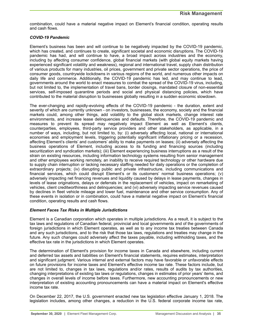combination, could have a material negative impact on Element's financial condition, operating results and cash flows.

## *COVID-19 Pandemic*

Element's business has been and will continue to be negatively impacted by the COVID-19 pandemic, which has created, and continues to create, significant societal and economic disruptions. The COVID-19 pandemic has had, and will continue to have, a broad impact across industries and the economy, including by affecting consumer confidence, global financial markets (with global equity markets having experienced significant volatility and weakness), regional and international travel, supply chain distribution of various products for many industries, oil prices, government and private sector operations, the price of consumer goods, countrywide lockdowns in various regions of the world, and numerous other impacts on daily life and commerce. Additionally, the COVID-19 pandemic has led, and may continue to lead, governments around the world to enact measures to combat the spread of the COVID-19 virus, including, but not limited to, the implementation of travel bans, border closings, mandated closure of non-essential services, self-imposed quarantine periods and social and physical distancing policies, which have contributed to the material disruption to businesses globally resulting in a sudden economic slowdown.

The ever-changing and rapidly-evolving effects of the COVID-19 pandemic - the duration, extent and severity of which are currently unknown - on investors, businesses, the economy, society and the financial markets could, among other things, add volatility to the global stock markets, change interest rate environments, and increase lease delinquencies and defaults. Therefore, the COVID-19 pandemic and measures to prevent its spread may negatively impact Element as well as Element's clients, counterparties, employees, third-party service providers and other stakeholders, as applicable, in a number of ways, including, but not limited to, by: (i) adversely affecting local, national or international economies and employment levels, triggering potentially significant inflationary pricing or a recession, affecting Element's clients' and customers' ability to make payments on leases; (ii) adversely affecting the business operations of Element, including access to its funding and financing sources (including securitization and syndication markets); (iii) Element experiencing business interruptions as a result of the strain on existing resources, including information technology systems resulting from senior management and other employees working remotely, an inability to receive required technology or other hardware due to supply chain interruption or lacking necessary staffing needed for daily operations or the completion of extraordinary projects; (iv) disrupting public and private infrastructure, including communications and financial services, which could disrupt Element's or its customers' normal business operations; (v) adversely impacting net financing revenues and liquidity caused by delays in lease payments, changes in levels of lease originations, delays or deferrals in the replacement of vehicles, impact on remarketing of vehicles, client creditworthiness and delinquencies; and (vi) adversely impacting service revenues caused by declines in fleet vehicle mileage and lower fuel, maintenance and other service consumption. Any of these events in isolation or in combination, could have a material negative impact on Element's financial condition, operating results and cash flows.

# *Element Faces Tax Risks in Multiple Jurisdictions*

Element is a Canadian corporation which operates in multiple jurisdictions. As a result, it is subject to the tax laws and regulations of Canadian federal, provincial and local governments and of the governments of foreign jurisdictions in which Element operates, as well as to any income tax treaties between Canada and any such jurisdictions, and to the risk that those tax laws, regulations and treaties may change in the future. Any such changes could adversely affect the taxes payable, including withholding taxes, and the effective tax rate in the jurisdictions in which Element operates.

The determination of Element's provision for income taxes in Canada and elsewhere, including current and deferred tax assets and liabilities on Element's financial statements, requires estimates, interpretation and significant judgment. Various internal and external factors may have favorable or unfavorable effects on future provisions for income taxes and Element's effective income tax rate. These factors include, but are not limited to, changes in tax laws, regulations and/or rates, results of audits by tax authorities, changing interpretations of existing tax laws or regulations, changes in estimates of prior years' items, and changes in overall levels of income before taxes. Furthermore, new accounting pronouncements or new interpretation of existing accounting pronouncements can have a material impact on Element's effective income tax rate.

On December 22, 2017, the U.S. government enacted new tax legislation effective January 1, 2018. The legislation includes, among other changes, a reduction in the U.S. federal corporate income tax rate,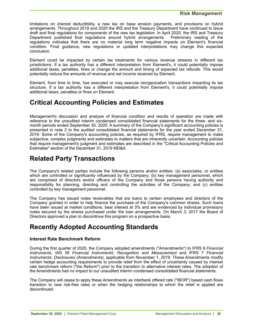<span id="page-35-0"></span>limitations on interest deductibility, a new tax on base erosion payments, and provisions on hybrid arrangements. Throughout 2019 and 2020 the IRS and the Treasury Department have continued to issue draft and final regulations for components of the new tax legislation. In April 2020, the IRS and Treasury Department published final regulations around hybrid arrangements. Preliminary reading of the regulations indicates that there are no material long term negative impacts on Element's financial condition. Final guidance, new regulations or updated interpretations may change this expected conclusion.

Element could be impacted by certain tax treatments for various revenue streams in different tax jurisdictions. If a tax authority has a different interpretation from Element's, it could potentially impose additional taxes, penalties, fines or change the amount and timing of expected tax refunds. This would potentially reduce the amounts of revenue and net income received by Element.

Element, from time to time, has executed or may execute reorganization transactions impacting its tax structure. If a tax authority has a different interpretation from Element's, it could potentially impose additional taxes, penalties or fines on Element.

# **Critical Accounting Policies and Estimates**

Management's discussion and analysis of financial condition and results of operation are made with reference to the unaudited interim condensed consolidated financial statements for the three- and sixmonth periods ended September 30, 2020. A summary of the Company's significant accounting policies is presented in note 2 to the audited consolidated financial statements for the year ended December 31, 2019. Some of the Company's accounting policies, as required by IFRS, require management to make subjective, complex judgments and estimates to matters that are inherently uncertain. Accounting policies that require management's judgment and estimates are described in the "Critical Accounting Policies and Estimates" section of the December 31, 2019 MD&A.

# **Related Party Transactions**

The Company's related parties include the following persons and/or entities: (a) associates, or entities which are controlled or significantly influenced by the Company; (b) key management personnel, which are comprised of directors and/or officers of the Company and those persons having authority and responsibility for planning, directing and controlling the activities of the Company; and (c) entities controlled by key management personnel.

The Company has issued notes receivables that are loans to certain employees and directors of the Company granted in order to help finance the purchase of the Company's common shares. Such loans have been issued at market conditions, bear interest at 3% and are evidenced by individual promissory notes secured by the shares purchased under the loan arrangements. On March 3, 2017 the Board of Directors approved a plan to discontinue this program on a prospective basis.

# **Recently Adopted Accounting Standards**

# **Interest Rate Benchmark Reform**

During the first quarter of 2020, the Company adopted amendments ("Amendments") to IFRS 9 *Financial Instruments*, IAS 39 *Financial Instruments: Recognition and Measurement* and IFRS 7 *Financial Instruments: Disclosures (Amendments)*, applicable from November 1, 2019. These Amendments modify certain hedge accounting requirements to provide relief from the effect of uncertainty caused by interest rate benchmark reform ("the Reform") prior to the transition to alternative interest rates. The adoption of the Amendments had no impact to our unaudited interim condensed consolidated financial statements.

The Company will cease to apply these Amendments as interbank offered rate ("IBOR") based cash flows transition to new risk-free rates or when the hedging relationships to which the relief is applied are discontinued.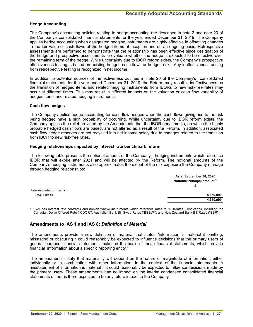## **Hedge Accounting**

The Company's accounting policies relating to hedge accounting are described in note 2 and note 20 of the Company's consolidated financial statements for the year ended December 31, 2019. The Company applies hedge accounting when designated hedging instruments are highly effective in offsetting changes in the fair value or cash flows of the hedged items at inception and on an ongoing basis. Retrospective assessments are performed to demonstrate that the relationship has been effective since designation of the hedge and prospective assessments to evaluate whether the hedge is expected to be effective over the remaining term of the hedge. While uncertainty due to IBOR reform exists, the Company's prospective effectiveness testing is based on existing hedged cash flows or hedged risks. Any ineffectiveness arising from retrospective testing is recognized in net income.

In addition to potential sources of ineffectiveness outlined in note 20 of the Company's consolidated financial statements for the year ended December 31, 2019, the Reform may result in ineffectiveness as the transition of hedged items and related hedging instruments from IBORs to new risk-free rates may occur at different times. This may result in different impacts on the valuation or cash flow variability of hedged items and related hedging instruments.

### **Cash flow hedges**

The Company applies hedge accounting for cash flow hedges when the cash flows giving rise to the risk being hedged have a high probability of occurring. While uncertainty due to IBOR reform exists, the Company applies the relief provided by the Amendments that the IBOR benchmarks, on which the highly probable hedged cash flows are based, are not altered as a result of the Reform. In addition, associated cash flow hedge reserves are not recycled into net income solely due to changes related to the transition from IBOR to new risk-free rates.

#### **Hedging relationships impacted by interest rate benchmark reform**

The following table presents the notional amount of the Company's hedging instruments which reference IBOR that will expire after 2021 and will be affected by the Reform. The notional amounts of the Company's hedging instruments also approximates the extent of the risk exposure the Company manage through hedging relationships:

|                         | As at September 30, 2020                 |
|-------------------------|------------------------------------------|
|                         | Notional/Principal amount <sup>(1)</sup> |
|                         |                                          |
| Interest rate contracts |                                          |
| <b>USD LIBOR</b>        | 4,350,999                                |
|                         | 4,350,999                                |

1. Excludes interest rate contracts and non-derivative instruments which reference rates to multi-rates jurisdictions, including the Canadian Dollar Offered Rate ("CDOR"), Australian Bank Bill Swap Rates ("BBSW"), and New Zealand Bank Bill Rates ("BBR").

# **Amendments to IAS 1 and IAS 8:** *Definition of Material*

The amendments provide a new definition of material that states "information is material if omitting, misstating or obscuring it could reasonably be expected to influence decisions that the primary users of general purpose financial statements make on the basis of those financial statements, which provide financial information about a specific reporting entity."

The amendments clarify that materiality will depend on the nature or magnitude of information, either individually or in combination with other information, in the context of the financial statements. A misstatement of information is material if it could reasonably be expected to influence decisions made by the primary users. These amendments had no impact on the interim condensed consolidated financial statements of, nor is there expected to be any future impact to the Company.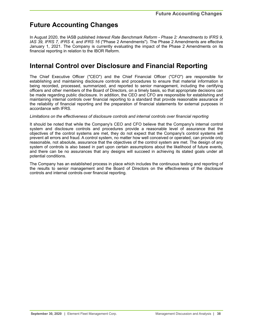# <span id="page-37-0"></span>**Future Accounting Changes**

In August 2020, the IASB published *Interest Rate Benchmark Reform - Phase 2: Amendments to IFRS 9, IAS 39, IFRS 7, IFRS 4, and IFRS 16* ("Phase 2 Amendments"). The Phase 2 Amendments are effective January 1, 2021. The Company is currently evaluating the impact of the Phase 2 Amendments on its financial reporting in relation to the IBOR Reform.

# **Internal Control over Disclosure and Financial Reporting**

The Chief Executive Officer ("CEO") and the Chief Financial Officer ("CFO") are responsible for establishing and maintaining disclosure controls and procedures to ensure that material information is being recorded, processed, summarized, and reported to senior management, including the certifying officers and other members of the Board of Directors, on a timely basis, so that appropriate decisions can be made regarding public disclosure. In addition, the CEO and CFO are responsible for establishing and maintaining internal controls over financial reporting to a standard that provide reasonable assurance of the reliability of financial reporting and the preparation of financial statements for external purposes in accordance with IFRS.

# *Limitations on the effectiveness of disclosure controls and internal controls over financial reporting*

It should be noted that while the Company's CEO and CFO believe that the Company's internal control system and disclosure controls and procedures provide a reasonable level of assurance that the objectives of the control systems are met, they do not expect that the Company's control systems will prevent all errors and fraud. A control system, no matter how well conceived or operated, can provide only reasonable, not absolute, assurance that the objectives of the control system are met. The design of any system of controls is also based in part upon certain assumptions about the likelihood of future events, and there can be no assurances that any designs will succeed in achieving its stated goals under all potential conditions.

The Company has an established process in place which includes the continuous testing and reporting of the results to senior management and the Board of Directors on the effectiveness of the disclosure controls and internal controls over financial reporting.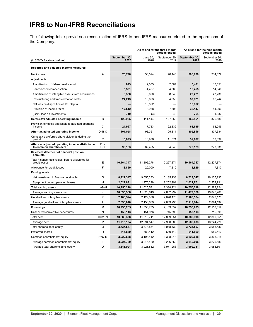# <span id="page-38-0"></span>**IFRS to Non-IFRS Reconciliations**

The following table provides a reconciliation of IFRS to non-IFRS measures related to the operations of the Company:

|                                                                            |              |                       |                  | As at and for the three-month<br>periods ended | As at and for the nine-month<br>periods ended |                       |  |  |
|----------------------------------------------------------------------------|--------------|-----------------------|------------------|------------------------------------------------|-----------------------------------------------|-----------------------|--|--|
| (in \$000's for stated values)                                             |              | September 30,<br>2020 | June 30,<br>2020 | September 30,<br>2019                          | September 30,<br>2020                         | September 30,<br>2019 |  |  |
| Reported and adjusted income measures                                      |              |                       |                  |                                                |                                               |                       |  |  |
| Net income                                                                 | A            | 70,778                | 58,594           | 70.145                                         | 208,730                                       | 214,679               |  |  |
| Adjustments:                                                               |              |                       |                  |                                                |                                               |                       |  |  |
| Amortization of debenture discount                                         |              | 843                   | 2,003            | 2,504                                          | 5,401                                         | 10.651                |  |  |
| Share-based compensation                                                   |              | 5,591                 | 4,427            | 4,360                                          | 15,455                                        | 14,940                |  |  |
| Amortization of intangible assets from acquisitions                        |              | 9,338                 | 9,660            | 8,948                                          | 29,221                                        | 27,236                |  |  |
| Restructuring and transformation costs                                     |              | 24,213                | 18,663           | 34,055                                         | 57,871                                        | 62,742                |  |  |
| Net loss on disposition of 19th Capital                                    |              |                       | 13,862           |                                                | 13,862                                        |                       |  |  |
| Provision of income taxes                                                  |              | 17,512                | 3,938            | 7,398                                          | 38,147                                        | 44,000                |  |  |
| (Gain) loss on investments                                                 |              | 710                   | (3)              | 240                                            | 764                                           | 1,332                 |  |  |
| Before-tax adjusted operating income                                       | в            | 128,985               | 111,144          | 127,650                                        | 369,451                                       | 375,580               |  |  |
| Provision for taxes applicable to adjusted operating<br>income             | С            | 21,927                | 17,783           | 22,339                                         | 63,635                                        | 68,246                |  |  |
| After-tax adjusted operating income                                        | $D = B - C$  | 107,058               | 93,361           | 105,311                                        | 305,816                                       | 307,334               |  |  |
| Cumulative preferred share dividends during the<br>period                  | Y            | 10,875                | 10.906           | 11,071                                         | 32,687                                        | 33,399                |  |  |
| After-tax adjusted operating income attributable<br>to common shareholders | $D1=$<br>D-Y | 96,183                | 82,455           | 94.240                                         | 273,129                                       | 273,935               |  |  |
| Selected statement of financial position<br>amounts                        |              |                       |                  |                                                |                                               |                       |  |  |
| Total Finance receivables, before allowance for<br>credit losses           | Е            | 10,164,347            | 11,302,278       | 12,227,874                                     | 10,164,347                                    | 12,227,874            |  |  |
| Allowance for credit losses                                                | F            | 18,829                | 20,000           | 7,810                                          | 18,829                                        | 7,810                 |  |  |
| Earning assets                                                             |              |                       |                  |                                                |                                               |                       |  |  |
| Net investment in finance receivable                                       | G            | 8,727,347             | 9,055,283        | 10,135,233                                     | 8,727,347                                     | 10,135,233            |  |  |
| Equipment under operating leases                                           | H            | 2.022.871             | 1,970,298        | 2,252,991                                      | 2.022.871                                     | 2,252,991             |  |  |
| Total earning assets                                                       | $I = G + H$  | 10,750,218            | 11,025,581       | 12,388,224                                     | 10,750,218                                    | 12,388,224            |  |  |
| Average earning assets, net                                                | J            | 10,895,388            | 11,626,619       | 12,662,992                                     | 11,477,320                                    | 13,046,268            |  |  |
| Goodwill and intangible assets                                             | K            | 2,100,524             | 2,127,036        | 2,078,173                                      | 2,100,524                                     | 2,078,173             |  |  |
| Average goodwill and intangible assets                                     | L            | 2,090,040             | 2,150,659        | 2,083,235                                      | 2,119,844                                     | 2,094,137             |  |  |
| <b>Borrowings</b>                                                          | М            | 10,735,285            | 11,758,735       | 12,153,652                                     | 10,735,285                                    | 12,153,652            |  |  |
| Unsecured convertible debentures                                           | N            | 153,113               | 151,976          | 715,399                                        | 153,113                                       | 715,399               |  |  |
| <b>Total debt</b>                                                          | $O=M+N$      | 10,888,398            | 11,910,711       | 12,869,051                                     | 10,888,398                                    | 12,869,051            |  |  |
| Average debt                                                               | P            | 11,715,194            | 12,994,547       | 12,950,680                                     | 12,588,633                                    | 13,224,226            |  |  |
| Total shareholders' equity                                                 | Q            | 3,734,557             | 3,878,854        | 3,988,430                                      | 3,734,557                                     | 3,988,430             |  |  |
| Preferred shares                                                           | R            | 511,869               | 680,412          | 680,412                                        | 511,869                                       | 680,412               |  |  |
| Common shareholders' equity                                                | $S = Q - R$  | 3,222,688             | 3,198,442        | 3,308,018                                      | 3,222,688                                     | 3,308,018             |  |  |
| Average common shareholders' equity                                        | т            | 3,221,760             | 3,245,420        | 3,296,852                                      | 3,240,696                                     | 3,276,189             |  |  |
| Average total shareholders' equity                                         | U            | 3,845,991             | 3.925.832        | 3,977,263                                      | 3,902,381                                     | 3,956,601             |  |  |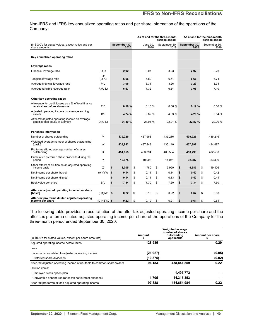# **IFRS to Non-IFRS Reconciliations**

Non-IFRS and IFRS key annualized operating ratios and per share information of the operations of the Company:

|                                                                                     |               |                       | As at and for the three-month<br>periods ended |    | As at and for the nine-month |    | periods ended         |    |                       |
|-------------------------------------------------------------------------------------|---------------|-----------------------|------------------------------------------------|----|------------------------------|----|-----------------------|----|-----------------------|
| (in \$000's for stated values, except ratios and per<br>share amounts)              |               | September 30,<br>2020 | June 30.<br>2020                               |    | September 30,<br>2019        |    | September 30.<br>2020 |    | September 30,<br>2019 |
| Key annualized operating ratios                                                     |               |                       |                                                |    |                              |    |                       |    |                       |
| Leverage ratios                                                                     |               |                       |                                                |    |                              |    |                       |    |                       |
| Financial leverage ratio                                                            | O/Q           | 2.92                  | 3.07                                           |    | 3.23                         |    | 2.92                  |    | 3.23                  |
| Tangible leverage ratio                                                             | O/<br>$(Q-K)$ | 6.66                  | 6.80                                           |    | 6.74                         |    | 6.66                  |    | 6.74                  |
| Average financial leverage ratio                                                    | P/U           | 3.05                  | 3.31                                           |    | 3.26                         |    | 3.23                  |    | 3.34                  |
| Average tangible leverage ratio                                                     | $P/(U-L)$     | 6.67                  | 7.32                                           |    | 6.84                         |    | 7.06                  |    | 7.10                  |
| Other key operating ratios                                                          |               |                       |                                                |    |                              |    |                       |    |                       |
| Allowance for credit losses as a % of total finance<br>receivables before allowance | F/E           | 0.19%                 | 0.18%                                          |    | 0.06%                        |    | 0.19%                 |    | 0.06%                 |
| Adjusted operating income on average earning<br>assets                              | B/J           | 4.74 %                | 3.82 %                                         |    | 4.03 %                       |    | 4.29 %                |    | 3.84 %                |
| After-tax adjusted operating income on average<br>tangible total equity of Element  | $D/(U-L)$     | 24.39 %               | 21.04 %                                        |    | 22.24 %                      |    | 22.87 %               |    | 22.00 %               |
| Per share information                                                               |               |                       |                                                |    |                              |    |                       |    |                       |
| Number of shares outstanding                                                        | V             | 439,225               | 437,953                                        |    | 435,216                      |    | 439,225               |    | 435,216               |
| Weighted average number of shares outstanding<br>[basic]                            | W             | 438,842               | 437,849                                        |    | 435,140                      |    | 437,997               |    | 434,487               |
| Pro forma diluted average number of shares<br>outstanding                           | X             | 454,655               | 453,394                                        |    | 483,584                      |    | 453,799               |    | 482,533               |
| Cumulative preferred share dividends during the<br>period                           | Y             | 10,875                | 10.906                                         |    | 11.071                       |    | 32,687                |    | 33,399                |
| Other effects of dilution on an adjusted operating<br>income basis                  | z             | \$<br>1.705           | \$<br>1.780                                    | \$ | 6,999                        | \$ | 5,387                 | \$ | 19,406                |
| Net income per share [basic]                                                        | $(A-Y)/W$     | \$<br>0.14            | \$<br>0.11                                     | \$ | 0.14                         | \$ | 0.40                  | \$ | 0.42                  |
| Net income per share [diluted]                                                      |               | \$<br>0.14            | \$<br>0.11                                     | \$ | 0.13                         | \$ | 0.40                  | \$ | 0.41                  |
| Book value per share                                                                | S/V           | \$<br>7.34            | \$<br>7.30                                     | \$ | 7.60                         | \$ | 7.34                  | \$ | 7.60                  |
| After-tax adjusted operating income per share<br>[basic]                            | (D1)/W        | \$<br>0.22            | \$<br>0.19                                     | \$ | 0.22                         | \$ | 0.62                  | \$ | 0.63                  |
| After-tax pro forma diluted adjusted operating<br>income per share                  | $(D1+Z)/X$ \$ | 0.22                  | \$<br>0.19                                     | \$ | 0.21                         | \$ | 0.61                  | \$ | 0.61                  |

The following table provides a reconciliation of the after-tax adjusted operating income per share and the after-tax pro forma diluted adjusted operating income per share of the operations of the Company for the three-month period ended September 30, 2020:

| (in \$000's for stated values, except per share amounts)                | Amount    | <b>Weighted average</b><br>number of shares<br>outstanding<br>applicable | Amount per share |
|-------------------------------------------------------------------------|-----------|--------------------------------------------------------------------------|------------------|
| Adjusted operating income before taxes                                  | 128.985   |                                                                          | 0.29             |
| Less:                                                                   |           |                                                                          |                  |
| Income taxes related to adjusted operating income                       | (21, 927) |                                                                          | (0.05)           |
| Preferred share dividends                                               | (10, 875) |                                                                          | (0.02)           |
| After-tax adjusted operating income attributable to common shareholders | 96,183    | 438.841.859                                                              | 0.22             |
| Dilution items:                                                         |           |                                                                          |                  |
| Employee stock option plan                                              |           | 1,497,772                                                                |                  |
| Convertible debentures (after-tax net interest expense)                 | 1.705     | 14,315,353                                                               |                  |
| After-tax pro forma diluted adjusted operating income                   | 97.888    | 454.654.984                                                              | 0.22             |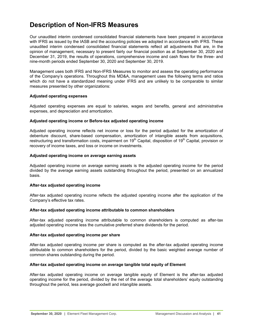# <span id="page-40-0"></span>**Description of Non-IFRS Measures**

Our unaudited interim condensed consolidated financial statements have been prepared in accordance with IFRS as issued by the IASB and the accounting policies we adopted in accordance with IFRS. These unaudited interim condensed consolidated financial statements reflect all adjustments that are, in the opinion of management, necessary to present fairly our financial position as at September 30, 2020 and December 31, 2019, the results of operations, comprehensive income and cash flows for the three- and nine-month periods ended September 30, 2020 and September 30, 2019.

Management uses both IFRS and Non-IFRS Measures to monitor and assess the operating performance of the Company's operations. Throughout this MD&A, management uses the following terms and ratios which do not have a standardized meaning under IFRS and are unlikely to be comparable to similar measures presented by other organizations:

### **Adjusted operating expenses**

Adjusted operating expenses are equal to salaries, wages and benefits, general and administrative expenses, and depreciation and amortization.

# **Adjusted operating income or Before-tax adjusted operating income**

Adjusted operating income reflects net income or loss for the period adjusted for the amortization of debenture discount, share-based compensation, amortization of intangible assets from acquisitions, restructuring and transformation costs, impairment on 19<sup>th</sup> Capital, disposition of 19<sup>th</sup> Capital, provision or recovery of income taxes, and loss or income on investments.

# **Adjusted operating income on average earning assets**

Adjusted operating income on average earning assets is the adjusted operating income for the period divided by the average earning assets outstanding throughout the period, presented on an annualized basis.

# **After-tax adjusted operating income**

After-tax adjusted operating income reflects the adjusted operating income after the application of the Company's effective tax rates.

### **After-tax adjusted operating income attributable to common shareholders**

After-tax adjusted operating income attributable to common shareholders is computed as after-tax adjusted operating income less the cumulative preferred share dividends for the period.

### **After-tax adjusted operating income per share**

After-tax adjusted operating income per share is computed as the after-tax adjusted operating income attributable to common shareholders for the period, divided by the basic weighted average number of common shares outstanding during the period.

### **After-tax adjusted operating income on average tangible total equity of Element**

After-tax adjusted operating income on average tangible equity of Element is the after-tax adjusted operating income for the period, divided by the net of the average total shareholders' equity outstanding throughout the period, less average goodwill and intangible assets.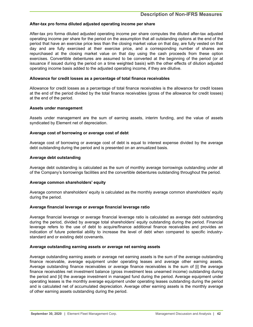# **After-tax pro forma diluted adjusted operating income per share**

After-tax pro forma diluted adjusted operating income per share computes the diluted after-tax adjusted operating income per share for the period on the assumption that all outstanding options at the end of the period that have an exercise price less than the closing market value on that day, are fully vested on that day and are fully exercised at their exercise price, and a corresponding number of shares are repurchased at the closing market value on that day using the cash proceeds from these option exercises. Convertible debentures are assumed to be converted at the beginning of the period (or at issuance if issued during the period on a time weighted basis) with the other effects of dilution adjusted operating income basis added to the adjusted operating income, if they are dilutive.

## **Allowance for credit losses as a percentage of total finance receivables**

Allowance for credit losses as a percentage of total finance receivables is the allowance for credit losses at the end of the period divided by the total finance receivables (gross of the allowance for credit losses) at the end of the period.

### **Assets under management**

Assets under management are the sum of earning assets, interim funding, and the value of assets syndicated by Element net of depreciation.

### **Average cost of borrowing or average cost of debt**

Average cost of borrowing or average cost of debt is equal to interest expense divided by the average debt outstanding during the period and is presented on an annualized basis.

#### **Average debt outstanding**

Average debt outstanding is calculated as the sum of monthly average borrowings outstanding under all of the Company's borrowings facilities and the convertible debentures outstanding throughout the period.

### **Average common shareholders' equity**

Average common shareholders' equity is calculated as the monthly average common shareholders' equity during the period.

#### **Average financial leverage or average financial leverage ratio**

Average financial leverage or average financial leverage ratio is calculated as average debt outstanding during the period, divided by average total shareholders' equity outstanding during the period. Financial leverage refers to the use of debt to acquire/finance additional finance receivables and provides an indication of future potential ability to increase the level of debt when compared to specific industrystandard and or existing debt covenants.

#### **Average outstanding earning assets or average net earning assets**

Average outstanding earning assets or average net earning assets is the sum of the average outstanding finance receivable, average equipment under operating leases and average other earning assets. Average outstanding finance receivables or average finance receivables is the sum of [i] the average finance receivables net investment balance (gross investment less unearned income) outstanding during the period and [ii] the average investment in managed fund during the period. Average equipment under operating leases is the monthly average equipment under operating leases outstanding during the period and is calculated net of accumulated depreciation. Average other earning assets is the monthly average of other earning assets outstanding during the period.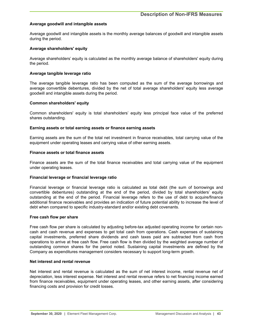## **Average goodwill and intangible assets**

Average goodwill and intangible assets is the monthly average balances of goodwill and intangible assets during the period.

### **Average shareholders' equity**

Average shareholders' equity is calculated as the monthly average balance of shareholders' equity during the period.

#### **Average tangible leverage ratio**

The average tangible leverage ratio has been computed as the sum of the average borrowings and average convertible debentures, divided by the net of total average shareholders' equity less average goodwill and intangible assets during the period.

#### **Common shareholders' equity**

Common shareholders' equity is total shareholders' equity less principal face value of the preferred shares outstanding.

#### **Earning assets or total earning assets or finance earning assets**

Earning assets are the sum of the total net investment in finance receivables, total carrying value of the equipment under operating leases and carrying value of other earning assets.

#### **Finance assets or total finance assets**

Finance assets are the sum of the total finance receivables and total carrying value of the equipment under operating leases.

#### **Financial leverage or financial leverage ratio**

Financial leverage or financial leverage ratio is calculated as total debt (the sum of borrowings and convertible debentures) outstanding at the end of the period, divided by total shareholders' equity outstanding at the end of the period. Financial leverage refers to the use of debt to acquire/finance additional finance receivables and provides an indication of future potential ability to increase the level of debt when compared to specific industry-standard and/or existing debt covenants.

#### **Free cash flow per share**

Free cash flow per share is calculated by adjusting before-tax adjusted operating income for certain noncash and cash revenue and expenses to get total cash from operations. Cash expenses of sustaining capital investments, preferred share dividends and cash taxes paid are subtracted from cash from operations to arrive at free cash flow. Free cash flow is then divided by the weighted average number of outstanding common shares for the period noted. Sustaining capital investments are defined by the Company as expenditures management considers necessary to support long-term growth.

#### **Net interest and rental revenue**

Net interest and rental revenue is calculated as the sum of net interest income, rental revenue net of depreciation, less interest expense. Net interest and rental revenue refers to net financing income earned from finance receivables, equipment under operating leases, and other earning assets, after considering financing costs and provision for credit losses.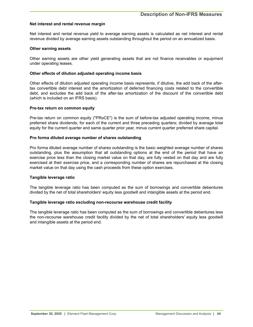### **Net interest and rental revenue margin**

Net interest and rental revenue yield to average earning assets is calculated as net interest and rental revenue divided by average earning assets outstanding throughout the period on an annualized basis.

#### **Other earning assets**

Other earning assets are other yield generating assets that are not finance receivables or equipment under operating leases.

#### **Other effects of dilution adjusted operating income basis**

Other effects of dilution adjusted operating income basis represents, if dilutive, the add back of the aftertax convertible debt interest and the amortization of deferred financing costs related to the convertible debt, and excludes the add back of the after-tax amortization of the discount of the convertible debt (which is included on an IFRS basis).

#### **Pre-tax return on common equity**

Pre-tax return on common equity ("PRoCE") is the sum of before-tax adjusted operating income, minus preferred share dividends, for each of the current and three preceding quarters; divided by average total equity for the current quarter and same quarter prior year, minus current quarter preferred share capital.

#### **Pro forma diluted average number of shares outstanding**

Pro forma diluted average number of shares outstanding is the basic weighted average number of shares outstanding, plus the assumption that all outstanding options at the end of the period that have an exercise price less than the closing market value on that day, are fully vested on that day and are fully exercised at their exercise price, and a corresponding number of shares are repurchased at the closing market value on that day using the cash proceeds from these option exercises.

### **Tangible leverage ratio**

The tangible leverage ratio has been computed as the sum of borrowings and convertible debentures divided by the net of total shareholders' equity less goodwill and intangible assets at the period end.

### **Tangible leverage ratio excluding non-recourse warehouse credit facility**

The tangible leverage ratio has been computed as the sum of borrowings and convertible debentures less the non-recourse warehouse credit facility divided by the net of total shareholders' equity less goodwill and intangible assets at the period end.